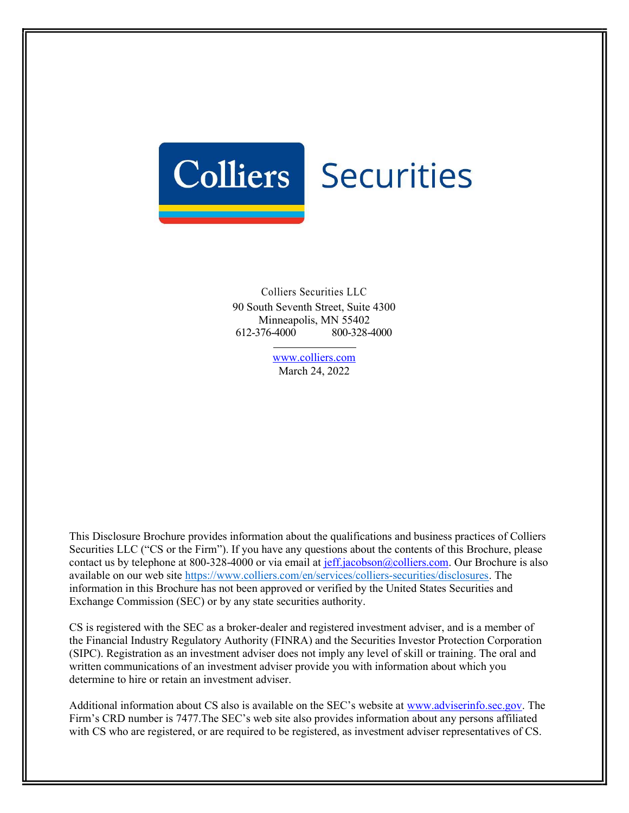

Colliers Securities LLC 90 South Seventh Street, Suite 4300 Minneapolis, MN 55402 612-376-4000 800-328-4000

> www.colliers.com March 24, 2022

This Disclosure Brochure provides information about the qualifications and business practices of Colliers Securities LLC ("CS or the Firm"). If you have any questions about the contents of this Brochure, please contact us by telephone at 800-328-4000 or via email at jeff.jacobson@colliers.com. Our Brochure is also available on our web site https://www.colliers.com/en/services/colliers-securities/disclosures. The information in this Brochure has not been approved or verified by the United States Securities and Exchange Commission (SEC) or by any state securities authority.

CS is registered with the SEC as a broker-dealer and registered investment adviser, and is a member of the Financial Industry Regulatory Authority (FINRA) and the Securities Investor Protection Corporation (SIPC). Registration as an investment adviser does not imply any level of skill or training. The oral and written communications of an investment adviser provide you with information about which you determine to hire or retain an investment adviser.

Additional information about CS also is available on the SEC's website at www.adviserinfo.sec.gov. The Firm's CRD number is 7477.The SEC's web site also provides information about any persons affiliated with CS who are registered, or are required to be registered, as investment adviser representatives of CS.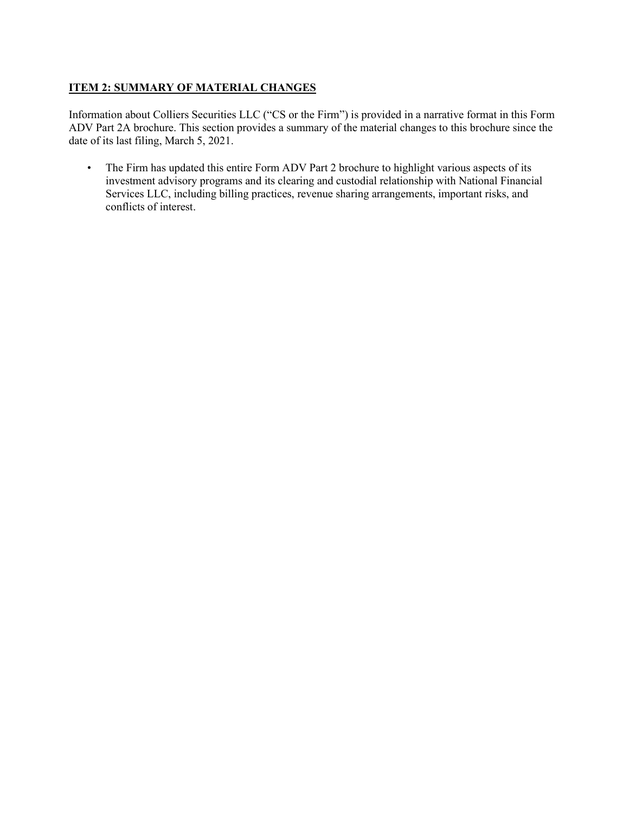# **ITEM 2: SUMMARY OF MATERIAL CHANGES**

Information about Colliers Securities LLC ("CS or the Firm") is provided in a narrative format in this Form ADV Part 2A brochure. This section provides a summary of the material changes to this brochure since the date of its last filing, March 5, 2021.

• The Firm has updated this entire Form ADV Part 2 brochure to highlight various aspects of its investment advisory programs and its clearing and custodial relationship with National Financial Services LLC, including billing practices, revenue sharing arrangements, important risks, and conflicts of interest.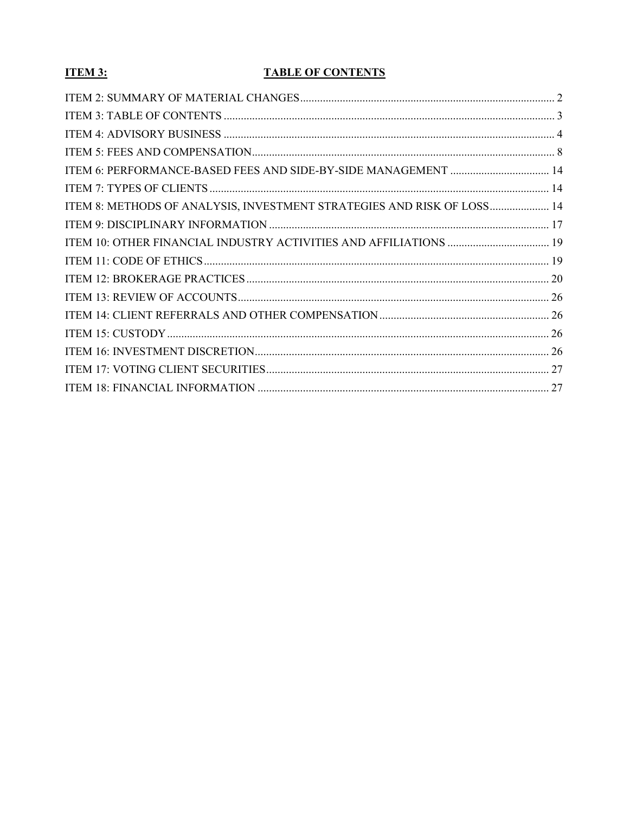# **ITEM 3:**

# **TABLE OF CONTENTS**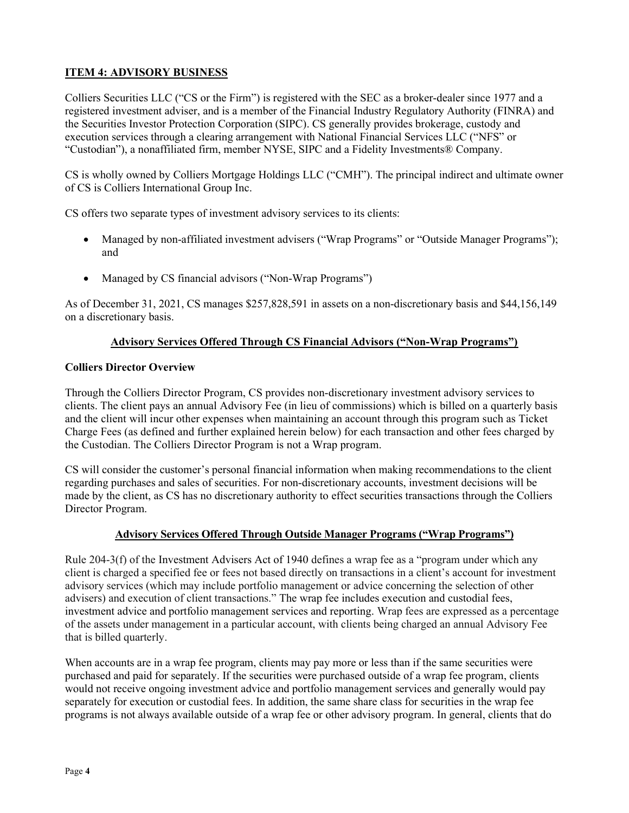# ITEM 4: ADVISORY BUSINESS

Colliers Securities LLC ("CS or the Firm") is registered with the SEC as a broker-dealer since 1977 and a registered investment adviser, and is a member of the Financial Industry Regulatory Authority (FINRA) and the Securities Investor Protection Corporation (SIPC). CS generally provides brokerage, custody and execution services through a clearing arrangement with National Financial Services LLC ("NFS" or "Custodian"), a nonaffiliated firm, member NYSE, SIPC and a Fidelity Investments® Company.

CS is wholly owned by Colliers Mortgage Holdings LLC ("CMH"). The principal indirect and ultimate owner of CS is Colliers International Group Inc.

CS offers two separate types of investment advisory services to its clients:

- Managed by non-affiliated investment advisers ("Wrap Programs" or "Outside Manager Programs"); and
- Managed by CS financial advisors ("Non-Wrap Programs")

As of December 31, 2021, CS manages \$257,828,591 in assets on a non-discretionary basis and \$44,156,149 on a discretionary basis.

# Advisory Services Offered Through CS Financial Advisors ("Non-Wrap Programs")

# Colliers Director Overview

Through the Colliers Director Program, CS provides non-discretionary investment advisory services to clients. The client pays an annual Advisory Fee (in lieu of commissions) which is billed on a quarterly basis and the client will incur other expenses when maintaining an account through this program such as Ticket Charge Fees (as defined and further explained herein below) for each transaction and other fees charged by the Custodian. The Colliers Director Program is not a Wrap program.

CS will consider the customer's personal financial information when making recommendations to the client regarding purchases and sales of securities. For non-discretionary accounts, investment decisions will be made by the client, as CS has no discretionary authority to effect securities transactions through the Colliers Director Program.

# Advisory Services Offered Through Outside Manager Programs ("Wrap Programs")

Rule 204-3(f) of the Investment Advisers Act of 1940 defines a wrap fee as a "program under which any client is charged a specified fee or fees not based directly on transactions in a client's account for investment advisory services (which may include portfolio management or advice concerning the selection of other advisers) and execution of client transactions." The wrap fee includes execution and custodial fees, investment advice and portfolio management services and reporting. Wrap fees are expressed as a percentage of the assets under management in a particular account, with clients being charged an annual Advisory Fee that is billed quarterly.

When accounts are in a wrap fee program, clients may pay more or less than if the same securities were purchased and paid for separately. If the securities were purchased outside of a wrap fee program, clients would not receive ongoing investment advice and portfolio management services and generally would pay separately for execution or custodial fees. In addition, the same share class for securities in the wrap fee programs is not always available outside of a wrap fee or other advisory program. In general, clients that do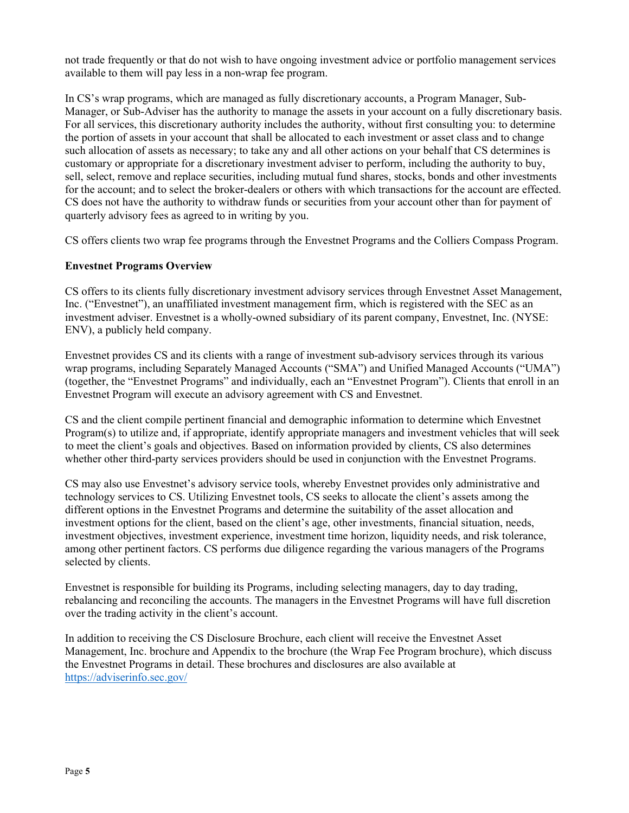not trade frequently or that do not wish to have ongoing investment advice or portfolio management services available to them will pay less in a non-wrap fee program.

In CS's wrap programs, which are managed as fully discretionary accounts, a Program Manager, Sub-Manager, or Sub-Adviser has the authority to manage the assets in your account on a fully discretionary basis. For all services, this discretionary authority includes the authority, without first consulting you: to determine the portion of assets in your account that shall be allocated to each investment or asset class and to change such allocation of assets as necessary; to take any and all other actions on your behalf that CS determines is customary or appropriate for a discretionary investment adviser to perform, including the authority to buy, sell, select, remove and replace securities, including mutual fund shares, stocks, bonds and other investments for the account; and to select the broker-dealers or others with which transactions for the account are effected. CS does not have the authority to withdraw funds or securities from your account other than for payment of quarterly advisory fees as agreed to in writing by you.

CS offers clients two wrap fee programs through the Envestnet Programs and the Colliers Compass Program.

### Envestnet Programs Overview

CS offers to its clients fully discretionary investment advisory services through Envestnet Asset Management, Inc. ("Envestnet"), an unaffiliated investment management firm, which is registered with the SEC as an investment adviser. Envestnet is a wholly-owned subsidiary of its parent company, Envestnet, Inc. (NYSE: ENV), a publicly held company.

Envestnet provides CS and its clients with a range of investment sub-advisory services through its various wrap programs, including Separately Managed Accounts ("SMA") and Unified Managed Accounts ("UMA") (together, the "Envestnet Programs" and individually, each an "Envestnet Program"). Clients that enroll in an Envestnet Program will execute an advisory agreement with CS and Envestnet.

CS and the client compile pertinent financial and demographic information to determine which Envestnet Program(s) to utilize and, if appropriate, identify appropriate managers and investment vehicles that will seek to meet the client's goals and objectives. Based on information provided by clients, CS also determines whether other third-party services providers should be used in conjunction with the Envestnet Programs.

CS may also use Envestnet's advisory service tools, whereby Envestnet provides only administrative and technology services to CS. Utilizing Envestnet tools, CS seeks to allocate the client's assets among the different options in the Envestnet Programs and determine the suitability of the asset allocation and investment options for the client, based on the client's age, other investments, financial situation, needs, investment objectives, investment experience, investment time horizon, liquidity needs, and risk tolerance, among other pertinent factors. CS performs due diligence regarding the various managers of the Programs selected by clients.

Envestnet is responsible for building its Programs, including selecting managers, day to day trading, rebalancing and reconciling the accounts. The managers in the Envestnet Programs will have full discretion over the trading activity in the client's account.

In addition to receiving the CS Disclosure Brochure, each client will receive the Envestnet Asset Management, Inc. brochure and Appendix to the brochure (the Wrap Fee Program brochure), which discuss the Envestnet Programs in detail. These brochures and disclosures are also available at https://adviserinfo.sec.gov/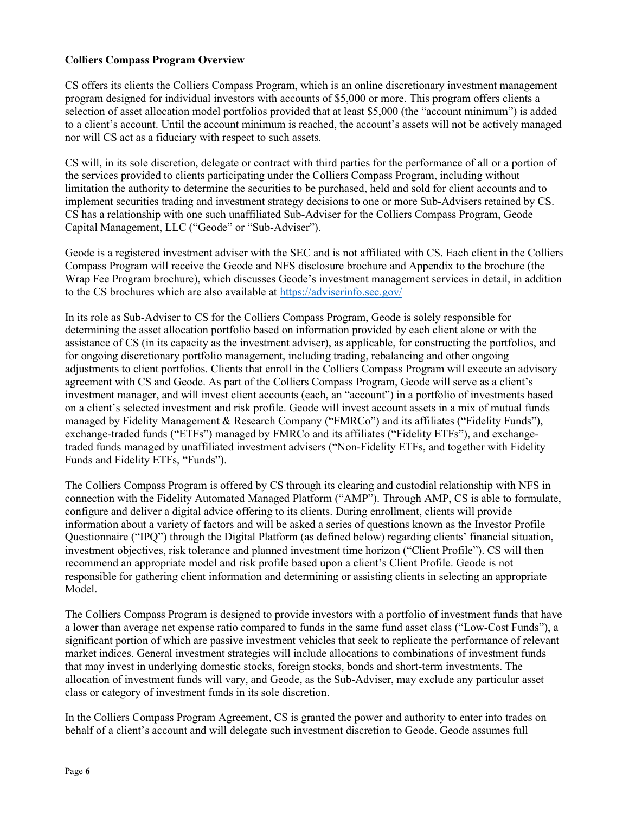### Colliers Compass Program Overview

CS offers its clients the Colliers Compass Program, which is an online discretionary investment management program designed for individual investors with accounts of \$5,000 or more. This program offers clients a selection of asset allocation model portfolios provided that at least \$5,000 (the "account minimum") is added to a client's account. Until the account minimum is reached, the account's assets will not be actively managed nor will CS act as a fiduciary with respect to such assets.

CS will, in its sole discretion, delegate or contract with third parties for the performance of all or a portion of the services provided to clients participating under the Colliers Compass Program, including without limitation the authority to determine the securities to be purchased, held and sold for client accounts and to implement securities trading and investment strategy decisions to one or more Sub-Advisers retained by CS. CS has a relationship with one such unaffiliated Sub-Adviser for the Colliers Compass Program, Geode Capital Management, LLC ("Geode" or "Sub-Adviser").

Geode is a registered investment adviser with the SEC and is not affiliated with CS. Each client in the Colliers Compass Program will receive the Geode and NFS disclosure brochure and Appendix to the brochure (the Wrap Fee Program brochure), which discusses Geode's investment management services in detail, in addition to the CS brochures which are also available at https://adviserinfo.sec.gov/

In its role as Sub-Adviser to CS for the Colliers Compass Program, Geode is solely responsible for determining the asset allocation portfolio based on information provided by each client alone or with the assistance of CS (in its capacity as the investment adviser), as applicable, for constructing the portfolios, and for ongoing discretionary portfolio management, including trading, rebalancing and other ongoing adjustments to client portfolios. Clients that enroll in the Colliers Compass Program will execute an advisory agreement with CS and Geode. As part of the Colliers Compass Program, Geode will serve as a client's investment manager, and will invest client accounts (each, an "account") in a portfolio of investments based on a client's selected investment and risk profile. Geode will invest account assets in a mix of mutual funds managed by Fidelity Management & Research Company ("FMRCo") and its affiliates ("Fidelity Funds"), exchange-traded funds ("ETFs") managed by FMRCo and its affiliates ("Fidelity ETFs"), and exchangetraded funds managed by unaffiliated investment advisers ("Non-Fidelity ETFs, and together with Fidelity Funds and Fidelity ETFs, "Funds").

The Colliers Compass Program is offered by CS through its clearing and custodial relationship with NFS in connection with the Fidelity Automated Managed Platform ("AMP"). Through AMP, CS is able to formulate, configure and deliver a digital advice offering to its clients. During enrollment, clients will provide information about a variety of factors and will be asked a series of questions known as the Investor Profile Questionnaire ("IPQ") through the Digital Platform (as defined below) regarding clients' financial situation, investment objectives, risk tolerance and planned investment time horizon ("Client Profile"). CS will then recommend an appropriate model and risk profile based upon a client's Client Profile. Geode is not responsible for gathering client information and determining or assisting clients in selecting an appropriate Model.

The Colliers Compass Program is designed to provide investors with a portfolio of investment funds that have a lower than average net expense ratio compared to funds in the same fund asset class ("Low-Cost Funds"), a significant portion of which are passive investment vehicles that seek to replicate the performance of relevant market indices. General investment strategies will include allocations to combinations of investment funds that may invest in underlying domestic stocks, foreign stocks, bonds and short-term investments. The allocation of investment funds will vary, and Geode, as the Sub-Adviser, may exclude any particular asset class or category of investment funds in its sole discretion.

In the Colliers Compass Program Agreement, CS is granted the power and authority to enter into trades on behalf of a client's account and will delegate such investment discretion to Geode. Geode assumes full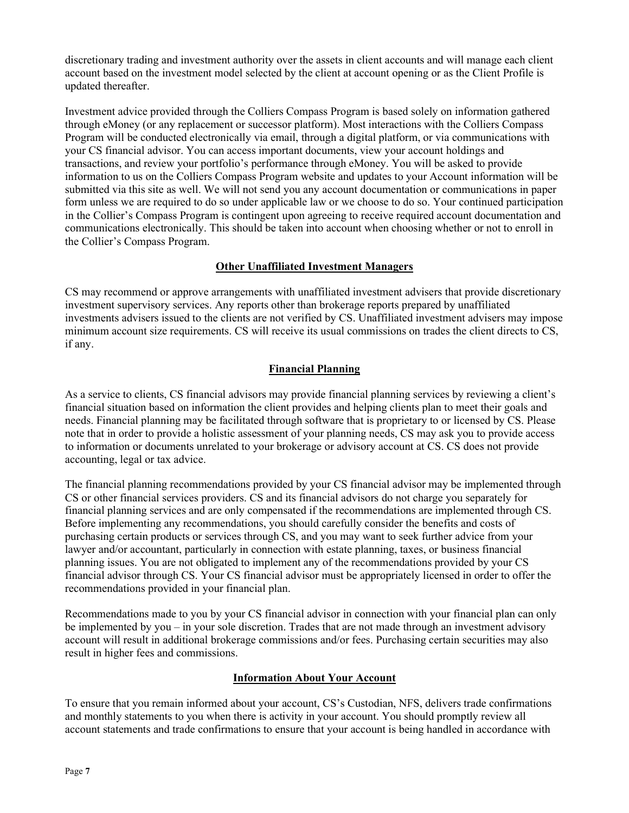discretionary trading and investment authority over the assets in client accounts and will manage each client account based on the investment model selected by the client at account opening or as the Client Profile is updated thereafter.

Investment advice provided through the Colliers Compass Program is based solely on information gathered through eMoney (or any replacement or successor platform). Most interactions with the Colliers Compass Program will be conducted electronically via email, through a digital platform, or via communications with your CS financial advisor. You can access important documents, view your account holdings and transactions, and review your portfolio's performance through eMoney. You will be asked to provide information to us on the Colliers Compass Program website and updates to your Account information will be submitted via this site as well. We will not send you any account documentation or communications in paper form unless we are required to do so under applicable law or we choose to do so. Your continued participation in the Collier's Compass Program is contingent upon agreeing to receive required account documentation and communications electronically. This should be taken into account when choosing whether or not to enroll in the Collier's Compass Program.

### Other Unaffiliated Investment Managers

CS may recommend or approve arrangements with unaffiliated investment advisers that provide discretionary investment supervisory services. Any reports other than brokerage reports prepared by unaffiliated investments advisers issued to the clients are not verified by CS. Unaffiliated investment advisers may impose minimum account size requirements. CS will receive its usual commissions on trades the client directs to CS, if any.

# Financial Planning

As a service to clients, CS financial advisors may provide financial planning services by reviewing a client's financial situation based on information the client provides and helping clients plan to meet their goals and needs. Financial planning may be facilitated through software that is proprietary to or licensed by CS. Please note that in order to provide a holistic assessment of your planning needs, CS may ask you to provide access to information or documents unrelated to your brokerage or advisory account at CS. CS does not provide accounting, legal or tax advice.

The financial planning recommendations provided by your CS financial advisor may be implemented through CS or other financial services providers. CS and its financial advisors do not charge you separately for financial planning services and are only compensated if the recommendations are implemented through CS. Before implementing any recommendations, you should carefully consider the benefits and costs of purchasing certain products or services through CS, and you may want to seek further advice from your lawyer and/or accountant, particularly in connection with estate planning, taxes, or business financial planning issues. You are not obligated to implement any of the recommendations provided by your CS financial advisor through CS. Your CS financial advisor must be appropriately licensed in order to offer the recommendations provided in your financial plan.

Recommendations made to you by your CS financial advisor in connection with your financial plan can only be implemented by you – in your sole discretion. Trades that are not made through an investment advisory account will result in additional brokerage commissions and/or fees. Purchasing certain securities may also result in higher fees and commissions.

### Information About Your Account

To ensure that you remain informed about your account, CS's Custodian, NFS, delivers trade confirmations and monthly statements to you when there is activity in your account. You should promptly review all account statements and trade confirmations to ensure that your account is being handled in accordance with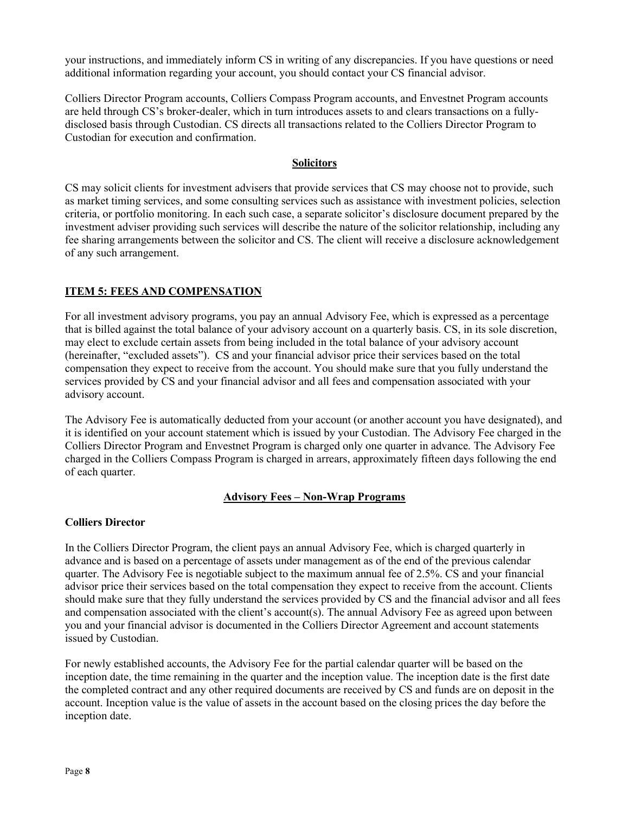your instructions, and immediately inform CS in writing of any discrepancies. If you have questions or need additional information regarding your account, you should contact your CS financial advisor.

Colliers Director Program accounts, Colliers Compass Program accounts, and Envestnet Program accounts are held through CS's broker-dealer, which in turn introduces assets to and clears transactions on a fullydisclosed basis through Custodian. CS directs all transactions related to the Colliers Director Program to Custodian for execution and confirmation.

#### **Solicitors**

CS may solicit clients for investment advisers that provide services that CS may choose not to provide, such as market timing services, and some consulting services such as assistance with investment policies, selection criteria, or portfolio monitoring. In each such case, a separate solicitor's disclosure document prepared by the investment adviser providing such services will describe the nature of the solicitor relationship, including any fee sharing arrangements between the solicitor and CS. The client will receive a disclosure acknowledgement of any such arrangement.

### ITEM 5: FEES AND COMPENSATION

For all investment advisory programs, you pay an annual Advisory Fee, which is expressed as a percentage that is billed against the total balance of your advisory account on a quarterly basis. CS, in its sole discretion, may elect to exclude certain assets from being included in the total balance of your advisory account (hereinafter, "excluded assets"). CS and your financial advisor price their services based on the total compensation they expect to receive from the account. You should make sure that you fully understand the services provided by CS and your financial advisor and all fees and compensation associated with your advisory account.

The Advisory Fee is automatically deducted from your account (or another account you have designated), and it is identified on your account statement which is issued by your Custodian. The Advisory Fee charged in the Colliers Director Program and Envestnet Program is charged only one quarter in advance. The Advisory Fee charged in the Colliers Compass Program is charged in arrears, approximately fifteen days following the end of each quarter.

### Advisory Fees – Non-Wrap Programs

### Colliers Director

In the Colliers Director Program, the client pays an annual Advisory Fee, which is charged quarterly in advance and is based on a percentage of assets under management as of the end of the previous calendar quarter. The Advisory Fee is negotiable subject to the maximum annual fee of 2.5%. CS and your financial advisor price their services based on the total compensation they expect to receive from the account. Clients should make sure that they fully understand the services provided by CS and the financial advisor and all fees and compensation associated with the client's account(s). The annual Advisory Fee as agreed upon between you and your financial advisor is documented in the Colliers Director Agreement and account statements issued by Custodian.

For newly established accounts, the Advisory Fee for the partial calendar quarter will be based on the inception date, the time remaining in the quarter and the inception value. The inception date is the first date the completed contract and any other required documents are received by CS and funds are on deposit in the account. Inception value is the value of assets in the account based on the closing prices the day before the inception date.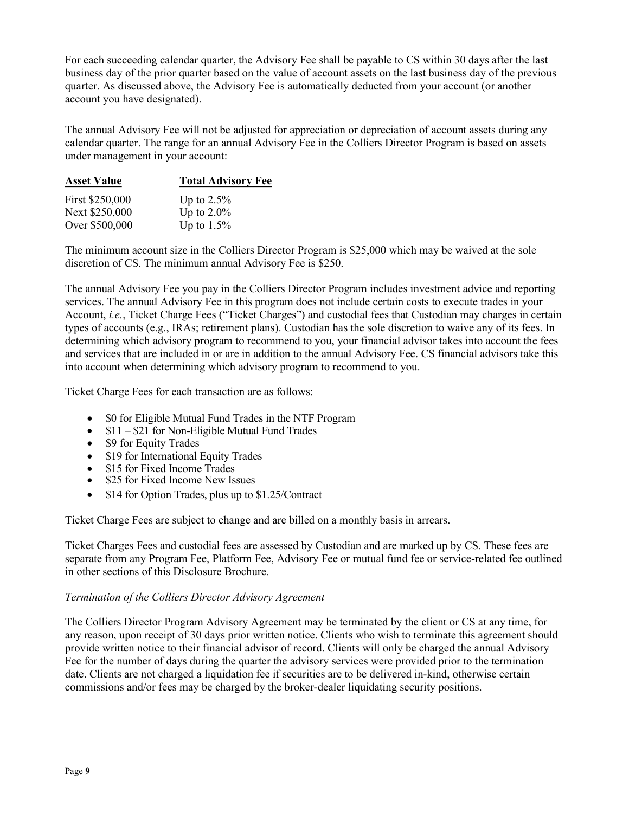For each succeeding calendar quarter, the Advisory Fee shall be payable to CS within 30 days after the last business day of the prior quarter based on the value of account assets on the last business day of the previous quarter. As discussed above, the Advisory Fee is automatically deducted from your account (or another account you have designated).

The annual Advisory Fee will not be adjusted for appreciation or depreciation of account assets during any calendar quarter. The range for an annual Advisory Fee in the Colliers Director Program is based on assets under management in your account:

| <b>Asset Value</b> | <b>Total Advisory Fee</b> |  |  |
|--------------------|---------------------------|--|--|
| First \$250,000    | Up to $2.5\%$             |  |  |
| Next \$250,000     | Up to $2.0\%$             |  |  |
| Over \$500,000     | Up to $1.5\%$             |  |  |

The minimum account size in the Colliers Director Program is \$25,000 which may be waived at the sole discretion of CS. The minimum annual Advisory Fee is \$250.

The annual Advisory Fee you pay in the Colliers Director Program includes investment advice and reporting services. The annual Advisory Fee in this program does not include certain costs to execute trades in your Account, i.e., Ticket Charge Fees ("Ticket Charges") and custodial fees that Custodian may charges in certain types of accounts (e.g., IRAs; retirement plans). Custodian has the sole discretion to waive any of its fees. In determining which advisory program to recommend to you, your financial advisor takes into account the fees and services that are included in or are in addition to the annual Advisory Fee. CS financial advisors take this into account when determining which advisory program to recommend to you.

Ticket Charge Fees for each transaction are as follows:

- \$0 for Eligible Mutual Fund Trades in the NTF Program
- $\bullet$  \$11 \$21 for Non-Eligible Mutual Fund Trades
- \$9 for Equity Trades
- \$19 for International Equity Trades
- \$15 for Fixed Income Trades
- \$25 for Fixed Income New Issues
- \$14 for Option Trades, plus up to \$1.25/Contract

Ticket Charge Fees are subject to change and are billed on a monthly basis in arrears.

Ticket Charges Fees and custodial fees are assessed by Custodian and are marked up by CS. These fees are separate from any Program Fee, Platform Fee, Advisory Fee or mutual fund fee or service-related fee outlined in other sections of this Disclosure Brochure.

### Termination of the Colliers Director Advisory Agreement

The Colliers Director Program Advisory Agreement may be terminated by the client or CS at any time, for any reason, upon receipt of 30 days prior written notice. Clients who wish to terminate this agreement should provide written notice to their financial advisor of record. Clients will only be charged the annual Advisory Fee for the number of days during the quarter the advisory services were provided prior to the termination date. Clients are not charged a liquidation fee if securities are to be delivered in-kind, otherwise certain commissions and/or fees may be charged by the broker-dealer liquidating security positions.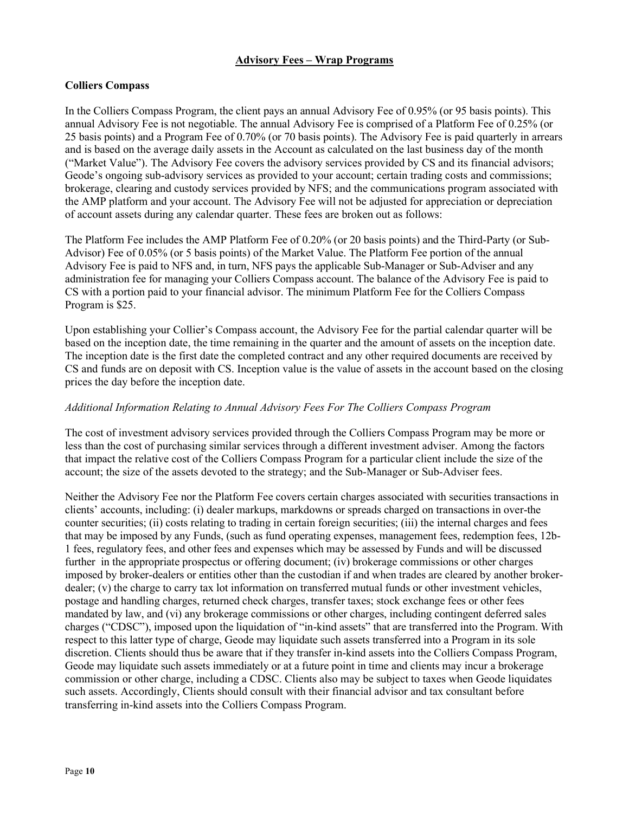### Advisory Fees – Wrap Programs

# Colliers Compass

In the Colliers Compass Program, the client pays an annual Advisory Fee of 0.95% (or 95 basis points). This annual Advisory Fee is not negotiable. The annual Advisory Fee is comprised of a Platform Fee of 0.25% (or 25 basis points) and a Program Fee of 0.70% (or 70 basis points). The Advisory Fee is paid quarterly in arrears and is based on the average daily assets in the Account as calculated on the last business day of the month ("Market Value"). The Advisory Fee covers the advisory services provided by CS and its financial advisors; Geode's ongoing sub-advisory services as provided to your account; certain trading costs and commissions; brokerage, clearing and custody services provided by NFS; and the communications program associated with the AMP platform and your account. The Advisory Fee will not be adjusted for appreciation or depreciation of account assets during any calendar quarter. These fees are broken out as follows:

The Platform Fee includes the AMP Platform Fee of 0.20% (or 20 basis points) and the Third-Party (or Sub-Advisor) Fee of 0.05% (or 5 basis points) of the Market Value. The Platform Fee portion of the annual Advisory Fee is paid to NFS and, in turn, NFS pays the applicable Sub-Manager or Sub-Adviser and any administration fee for managing your Colliers Compass account. The balance of the Advisory Fee is paid to CS with a portion paid to your financial advisor. The minimum Platform Fee for the Colliers Compass Program is \$25.

Upon establishing your Collier's Compass account, the Advisory Fee for the partial calendar quarter will be based on the inception date, the time remaining in the quarter and the amount of assets on the inception date. The inception date is the first date the completed contract and any other required documents are received by CS and funds are on deposit with CS. Inception value is the value of assets in the account based on the closing prices the day before the inception date.

### Additional Information Relating to Annual Advisory Fees For The Colliers Compass Program

The cost of investment advisory services provided through the Colliers Compass Program may be more or less than the cost of purchasing similar services through a different investment adviser. Among the factors that impact the relative cost of the Colliers Compass Program for a particular client include the size of the account; the size of the assets devoted to the strategy; and the Sub-Manager or Sub-Adviser fees.

Neither the Advisory Fee nor the Platform Fee covers certain charges associated with securities transactions in clients' accounts, including: (i) dealer markups, markdowns or spreads charged on transactions in over-the counter securities; (ii) costs relating to trading in certain foreign securities; (iii) the internal charges and fees that may be imposed by any Funds, (such as fund operating expenses, management fees, redemption fees, 12b-1 fees, regulatory fees, and other fees and expenses which may be assessed by Funds and will be discussed further in the appropriate prospectus or offering document; (iv) brokerage commissions or other charges imposed by broker-dealers or entities other than the custodian if and when trades are cleared by another brokerdealer; (v) the charge to carry tax lot information on transferred mutual funds or other investment vehicles, postage and handling charges, returned check charges, transfer taxes; stock exchange fees or other fees mandated by law, and (vi) any brokerage commissions or other charges, including contingent deferred sales charges ("CDSC"), imposed upon the liquidation of "in-kind assets" that are transferred into the Program. With respect to this latter type of charge, Geode may liquidate such assets transferred into a Program in its sole discretion. Clients should thus be aware that if they transfer in-kind assets into the Colliers Compass Program, Geode may liquidate such assets immediately or at a future point in time and clients may incur a brokerage commission or other charge, including a CDSC. Clients also may be subject to taxes when Geode liquidates such assets. Accordingly, Clients should consult with their financial advisor and tax consultant before transferring in-kind assets into the Colliers Compass Program.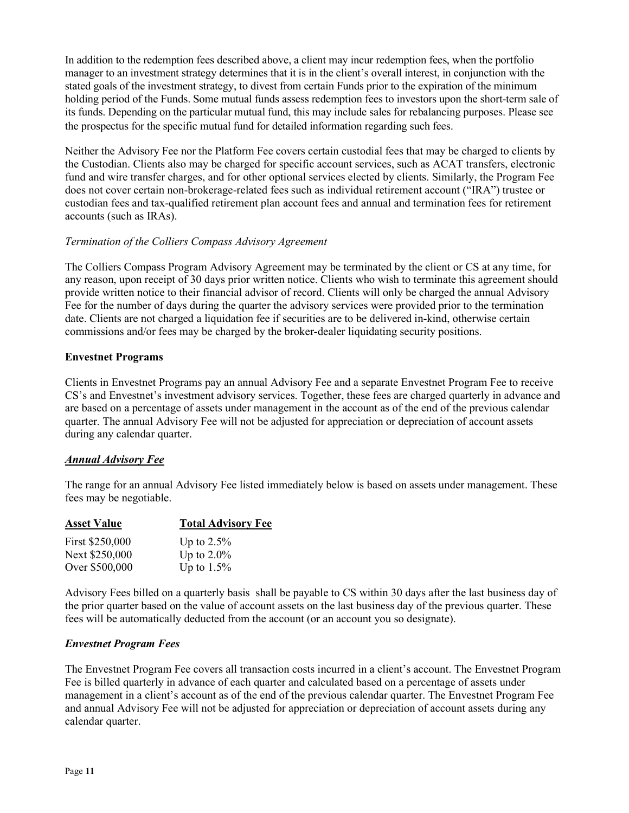In addition to the redemption fees described above, a client may incur redemption fees, when the portfolio manager to an investment strategy determines that it is in the client's overall interest, in conjunction with the stated goals of the investment strategy, to divest from certain Funds prior to the expiration of the minimum holding period of the Funds. Some mutual funds assess redemption fees to investors upon the short-term sale of its funds. Depending on the particular mutual fund, this may include sales for rebalancing purposes. Please see the prospectus for the specific mutual fund for detailed information regarding such fees

Neither the Advisory Fee nor the Platform Fee covers certain custodial fees that may be charged to clients by the Custodian. Clients also may be charged for specific account services, such as ACAT transfers, electronic fund and wire transfer charges, and for other optional services elected by clients. Similarly, the Program Fee does not cover certain non-brokerage-related fees such as individual retirement account ("IRA") trustee or custodian fees and tax-qualified retirement plan account fees and annual and termination fees for retirement accounts (such as IRAs).

### Termination of the Colliers Compass Advisory Agreement

The Colliers Compass Program Advisory Agreement may be terminated by the client or CS at any time, for any reason, upon receipt of 30 days prior written notice. Clients who wish to terminate this agreement should provide written notice to their financial advisor of record. Clients will only be charged the annual Advisory Fee for the number of days during the quarter the advisory services were provided prior to the termination date. Clients are not charged a liquidation fee if securities are to be delivered in-kind, otherwise certain commissions and/or fees may be charged by the broker-dealer liquidating security positions.

### Envestnet Programs

Clients in Envestnet Programs pay an annual Advisory Fee and a separate Envestnet Program Fee to receive CS's and Envestnet's investment advisory services. Together, these fees are charged quarterly in advance and are based on a percentage of assets under management in the account as of the end of the previous calendar quarter. The annual Advisory Fee will not be adjusted for appreciation or depreciation of account assets during any calendar quarter.

# Annual Advisory Fee

The range for an annual Advisory Fee listed immediately below is based on assets under management. These fees may be negotiable.

| <b>Asset Value</b> | <b>Total Advisory Fee</b> |
|--------------------|---------------------------|
| First \$250,000    | Up to $2.5\%$             |
| Next \$250,000     | Up to $2.0\%$             |
| Over \$500,000     | Up to $1.5\%$             |

Advisory Fees billed on a quarterly basis shall be payable to CS within 30 days after the last business day of the prior quarter based on the value of account assets on the last business day of the previous quarter. These fees will be automatically deducted from the account (or an account you so designate).

### Envestnet Program Fees

The Envestnet Program Fee covers all transaction costs incurred in a client's account. The Envestnet Program Fee is billed quarterly in advance of each quarter and calculated based on a percentage of assets under management in a client's account as of the end of the previous calendar quarter. The Envestnet Program Fee and annual Advisory Fee will not be adjusted for appreciation or depreciation of account assets during any calendar quarter.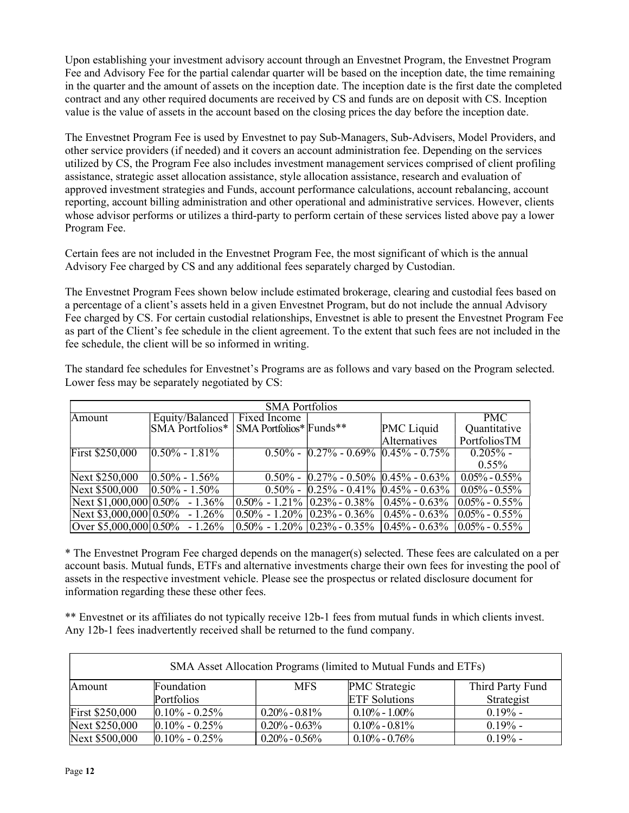Upon establishing your investment advisory account through an Envestnet Program, the Envestnet Program Fee and Advisory Fee for the partial calendar quarter will be based on the inception date, the time remaining in the quarter and the amount of assets on the inception date. The inception date is the first date the completed contract and any other required documents are received by CS and funds are on deposit with CS. Inception value is the value of assets in the account based on the closing prices the day before the inception date.

The Envestnet Program Fee is used by Envestnet to pay Sub-Managers, Sub-Advisers, Model Providers, and other service providers (if needed) and it covers an account administration fee. Depending on the services utilized by CS, the Program Fee also includes investment management services comprised of client profiling assistance, strategic asset allocation assistance, style allocation assistance, research and evaluation of approved investment strategies and Funds, account performance calculations, account rebalancing, account reporting, account billing administration and other operational and administrative services. However, clients whose advisor performs or utilizes a third-party to perform certain of these services listed above pay a lower Program Fee.

Certain fees are not included in the Envestnet Program Fee, the most significant of which is the annual Advisory Fee charged by CS and any additional fees separately charged by Custodian.

The Envestnet Program Fees shown below include estimated brokerage, clearing and custodial fees based on a percentage of a client's assets held in a given Envestnet Program, but do not include the annual Advisory Fee charged by CS. For certain custodial relationships, Envestnet is able to present the Envestnet Program Fee as part of the Client's fee schedule in the client agreement. To the extent that such fees are not included in the fee schedule, the client will be so informed in writing.

| <b>SMA Portfolios</b>             |                     |                                               |                                     |                                                  |                    |
|-----------------------------------|---------------------|-----------------------------------------------|-------------------------------------|--------------------------------------------------|--------------------|
| Amount                            | Equity/Balanced     | <b>Trixed</b> Income                          |                                     |                                                  | <b>PMC</b>         |
|                                   | SMA Portfolios*     | SMA Portfolios* Funds**                       |                                     | PMC Liquid                                       | Quantitative       |
|                                   |                     |                                               |                                     | Alternatives                                     | PortfoliosTM       |
| First \$250,000                   | $ 0.50\% - 1.81\% $ | $0.50\%$ -                                    | $0.27\% - 0.69\%$ 0.45\% $- 0.75\%$ |                                                  | $0.205\%$ -        |
|                                   |                     |                                               |                                     |                                                  | $0.55\%$           |
| Next \$250,000                    | $ 0.50\% - 1.56\%$  | $0.50\%$ -                                    | $ 0.27\% - 0.50\% 0.45\% - 0.63\% $ |                                                  | $0.05\% - 0.55\%$  |
| Next \$500,000                    | $ 0.50\% - 1.50\%$  | $0.50\%$ -                                    | $ 0.25\% - 0.41\% 0.45\% - 0.63\% $ |                                                  | $0.05\% - 0.55\%$  |
| Next $$1,000,000 0.50\%$ - 1.36%  |                     | $\vert 0.50\%$ - 1.21% $\vert 0.23\%$ - 0.38% |                                     | $ 0.45\% - 0.63\%$                               | $10.05\% - 0.55\%$ |
| Next \$3,000,000 $0.50\%$ - 1.26% |                     |                                               | $0.50\% - 1.20\%$ $0.23\% - 0.36\%$ | $ 0.45\% - 0.63\%$                               | $10.05\% - 0.55\%$ |
| Over \$5,000,000 $0.50\%$ - 1.26% |                     | $0.50\% - 1.20\%$ $0.23\% - 0.35\%$           |                                     | $\left  0.45\% - 0.63\% \right  0.05\% - 0.55\%$ |                    |

The standard fee schedules for Envestnet's Programs are as follows and vary based on the Program selected. Lower fess may be separately negotiated by CS:

\* The Envestnet Program Fee charged depends on the manager(s) selected. These fees are calculated on a per account basis. Mutual funds, ETFs and alternative investments charge their own fees for investing the pool of assets in the respective investment vehicle. Please see the prospectus or related disclosure document for information regarding these these other fees.

\*\* Envestnet or its affiliates do not typically receive 12b-1 fees from mutual funds in which clients invest. Any 12b-1 fees inadvertently received shall be returned to the fund company.

| SMA Asset Allocation Programs (limited to Mutual Funds and ETFs) |                    |                     |                      |                  |
|------------------------------------------------------------------|--------------------|---------------------|----------------------|------------------|
| Amount                                                           | Foundation         | <b>MFS</b>          | <b>PMC</b> Strategic | Third Party Fund |
|                                                                  | Portfolios         |                     | <b>ETF</b> Solutions | Strategist       |
| <b>First \$250,000</b>                                           | $ 0.10\% - 0.25\%$ | $0.20\%$ - $0.81\%$ | $0.10\% - 1.00\%$    | $0.19\%$ -       |
| Next \$250,000                                                   | $ 0.10\% - 0.25\%$ | $0.20\%$ - $0.63\%$ | $0.10\% - 0.81\%$    | $0.19\%$ -       |
| Next \$500,000                                                   | $0.10\% - 0.25\%$  | $0.20\%$ - $0.56\%$ | $0.10\% - 0.76\%$    | $0.19\%$ -       |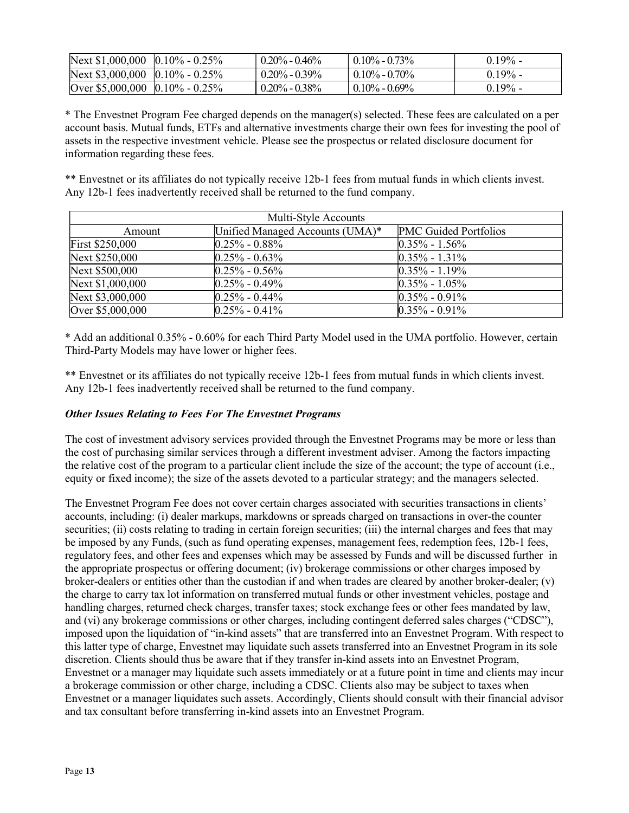| Next \$1,000,000 $ 0.10\% - 0.25\% $ | $0.20\% - 0.46\%$   | $0.10\% - 0.73\%$         | $0.19\%$ - |
|--------------------------------------|---------------------|---------------------------|------------|
| Next \$3,000,000 $ 0.10\% - 0.25\% $ | $0.20\%$ - $0.39\%$ | $^{\prime}$ 0.10% - 0.70% | $0.19\%$ - |
| Over $$5,000,000$ 0.10% - 0.25%      | $0.20\%$ - $0.38\%$ | $0.10\% - 0.69\%$         | $0.19\%$ - |

\* The Envestnet Program Fee charged depends on the manager(s) selected. These fees are calculated on a per account basis. Mutual funds, ETFs and alternative investments charge their own fees for investing the pool of assets in the respective investment vehicle. Please see the prospectus or related disclosure document for information regarding these fees.

\*\* Envestnet or its affiliates do not typically receive 12b-1 fees from mutual funds in which clients invest. Any 12b-1 fees inadvertently received shall be returned to the fund company.

| Multi-Style Accounts   |                                 |                       |  |  |
|------------------------|---------------------------------|-----------------------|--|--|
| Amount                 | Unified Managed Accounts (UMA)* | PMC Guided Portfolios |  |  |
| <b>First \$250,000</b> | $ 0.25\% - 0.88\%$              | $ 0.35\% - 1.56\%$    |  |  |
| Next \$250,000         | $ 0.25\% - 0.63\%$              | $ 0.35\% - 1.31\%$    |  |  |
| Next \$500,000         | $ 0.25\% - 0.56\% $             | $ 0.35\% - 1.19\%$    |  |  |
| Next \$1,000,000       | $ 0.25\% - 0.49\%$              | $ 0.35\% - 1.05\%$    |  |  |
| Next \$3,000,000       | $ 0.25\% - 0.44\%$              | $ 0.35\% - 0.91\%$    |  |  |
| Over \$5,000,000       | $0.25\% - 0.41\%$               | $0.35\% - 0.91\%$     |  |  |

\* Add an additional 0.35% - 0.60% for each Third Party Model used in the UMA portfolio. However, certain Third-Party Models may have lower or higher fees.

\*\* Envestnet or its affiliates do not typically receive 12b-1 fees from mutual funds in which clients invest. Any 12b-1 fees inadvertently received shall be returned to the fund company.

### Other Issues Relating to Fees For The Envestnet Programs

The cost of investment advisory services provided through the Envestnet Programs may be more or less than the cost of purchasing similar services through a different investment adviser. Among the factors impacting the relative cost of the program to a particular client include the size of the account; the type of account (i.e., equity or fixed income); the size of the assets devoted to a particular strategy; and the managers selected.

The Envestnet Program Fee does not cover certain charges associated with securities transactions in clients' accounts, including: (i) dealer markups, markdowns or spreads charged on transactions in over-the counter securities; (ii) costs relating to trading in certain foreign securities; (iii) the internal charges and fees that may be imposed by any Funds, (such as fund operating expenses, management fees, redemption fees, 12b-1 fees, regulatory fees, and other fees and expenses which may be assessed by Funds and will be discussed further in the appropriate prospectus or offering document; (iv) brokerage commissions or other charges imposed by broker-dealers or entities other than the custodian if and when trades are cleared by another broker-dealer; (v) the charge to carry tax lot information on transferred mutual funds or other investment vehicles, postage and handling charges, returned check charges, transfer taxes; stock exchange fees or other fees mandated by law, and (vi) any brokerage commissions or other charges, including contingent deferred sales charges ("CDSC"), imposed upon the liquidation of "in-kind assets" that are transferred into an Envestnet Program. With respect to this latter type of charge, Envestnet may liquidate such assets transferred into an Envestnet Program in its sole discretion. Clients should thus be aware that if they transfer in-kind assets into an Envestnet Program, Envestnet or a manager may liquidate such assets immediately or at a future point in time and clients may incur a brokerage commission or other charge, including a CDSC. Clients also may be subject to taxes when Envestnet or a manager liquidates such assets. Accordingly, Clients should consult with their financial advisor and tax consultant before transferring in-kind assets into an Envestnet Program.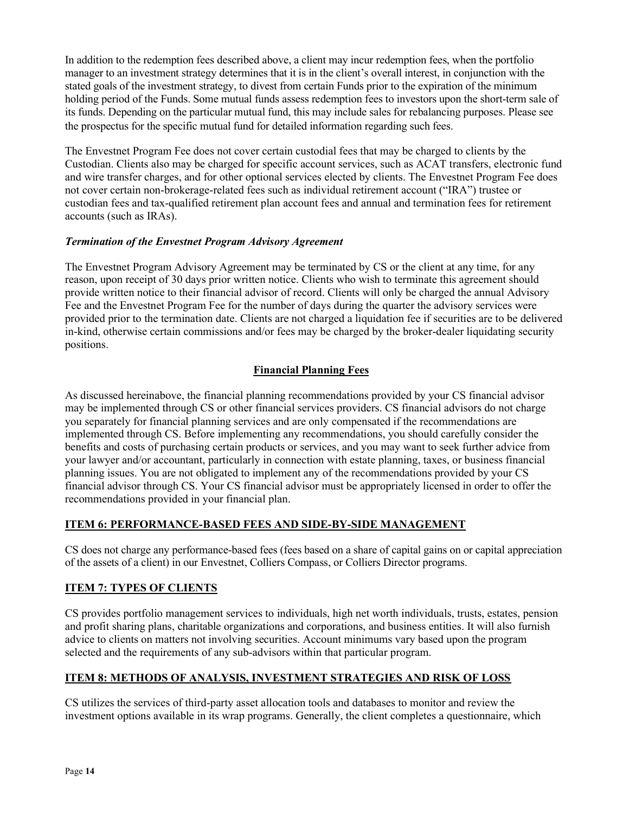In addition to the redemption fees described above, a client may incur redemption fees, when the portfolio manager to an investment strategy determines that it is in the client's overall interest, in conjunction with the stated goals of the investment strategy, to divest from certain Funds prior to the expiration of the minimum holding period of the Funds. Some mutual funds assess redemption fees to investors upon the short-term sale of its funds. Depending on the particular mutual fund, this may include sales for rebalancing purposes. Please see the prospectus for the specific mutual fund for detailed information regarding such fees

The Envestnet Program Fee does not cover certain custodial fees that may be charged to clients by the Custodian. Clients also may be charged for specific account services, such as ACAT transfers, electronic fund and wire transfer charges, and for other optional services elected by clients. The Envestnet Program Fee does not cover certain non-brokerage-related fees such as individual retirement account ("IRA") trustee or custodian fees and tax-qualified retirement plan account fees and annual and termination fees for retirement accounts (such as IRAs).

### Termination of the Envestnet Program Advisory Agreement

The Envestnet Program Advisory Agreement may be terminated by CS or the client at any time, for any reason, upon receipt of 30 days prior written notice. Clients who wish to terminate this agreement should provide written notice to their financial advisor of record. Clients will only be charged the annual Advisory Fee and the Envestnet Program Fee for the number of days during the quarter the advisory services were provided prior to the termination date. Clients are not charged a liquidation fee if securities are to be delivered in-kind, otherwise certain commissions and/or fees may be charged by the broker‐dealer liquidating security positions.

# Financial Planning Fees

As discussed hereinabove, the financial planning recommendations provided by your CS financial advisor may be implemented through CS or other financial services providers. CS financial advisors do not charge you separately for financial planning services and are only compensated if the recommendations are implemented through CS. Before implementing any recommendations, you should carefully consider the benefits and costs of purchasing certain products or services, and you may want to seek further advice from your lawyer and/or accountant, particularly in connection with estate planning, taxes, or business financial planning issues. You are not obligated to implement any of the recommendations provided by your CS financial advisor through CS. Your CS financial advisor must be appropriately licensed in order to offer the recommendations provided in your financial plan.

# ITEM 6: PERFORMANCE-BASED FEES AND SIDE-BY-SIDE MANAGEMENT

CS does not charge any performance-based fees (fees based on a share of capital gains on or capital appreciation of the assets of a client) in our Envestnet, Colliers Compass, or Colliers Director programs.

# **ITEM 7: TYPES OF CLIENTS**

CS provides portfolio management services to individuals, high net worth individuals, trusts, estates, pension and profit sharing plans, charitable organizations and corporations, and business entities. It will also furnish advice to clients on matters not involving securities. Account minimums vary based upon the program selected and the requirements of any sub-advisors within that particular program.

# ITEM 8: METHODS OF ANALYSIS, INVESTMENT STRATEGIES AND RISK OF LOSS

CS utilizes the services of third-party asset allocation tools and databases to monitor and review the investment options available in its wrap programs. Generally, the client completes a questionnaire, which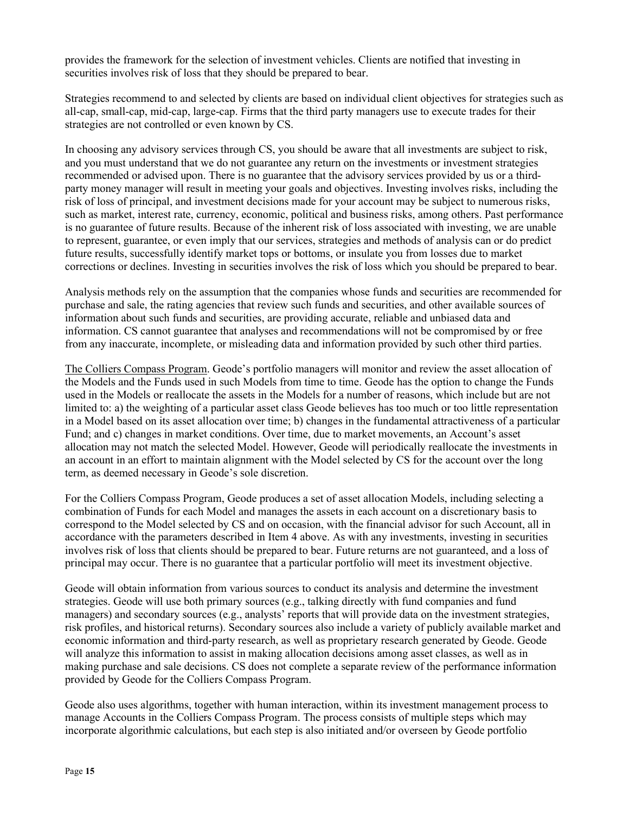provides the framework for the selection of investment vehicles. Clients are notified that investing in securities involves risk of loss that they should be prepared to bear.

Strategies recommend to and selected by clients are based on individual client objectives for strategies such as all-cap, small-cap, mid-cap, large-cap. Firms that the third party managers use to execute trades for their strategies are not controlled or even known by CS.

In choosing any advisory services through CS, you should be aware that all investments are subject to risk, and you must understand that we do not guarantee any return on the investments or investment strategies recommended or advised upon. There is no guarantee that the advisory services provided by us or a thirdparty money manager will result in meeting your goals and objectives. Investing involves risks, including the risk of loss of principal, and investment decisions made for your account may be subject to numerous risks, such as market, interest rate, currency, economic, political and business risks, among others. Past performance is no guarantee of future results. Because of the inherent risk of loss associated with investing, we are unable to represent, guarantee, or even imply that our services, strategies and methods of analysis can or do predict future results, successfully identify market tops or bottoms, or insulate you from losses due to market corrections or declines. Investing in securities involves the risk of loss which you should be prepared to bear.

Analysis methods rely on the assumption that the companies whose funds and securities are recommended for purchase and sale, the rating agencies that review such funds and securities, and other available sources of information about such funds and securities, are providing accurate, reliable and unbiased data and information. CS cannot guarantee that analyses and recommendations will not be compromised by or free from any inaccurate, incomplete, or misleading data and information provided by such other third parties.

The Colliers Compass Program. Geode's portfolio managers will monitor and review the asset allocation of the Models and the Funds used in such Models from time to time. Geode has the option to change the Funds used in the Models or reallocate the assets in the Models for a number of reasons, which include but are not limited to: a) the weighting of a particular asset class Geode believes has too much or too little representation in a Model based on its asset allocation over time; b) changes in the fundamental attractiveness of a particular Fund; and c) changes in market conditions. Over time, due to market movements, an Account's asset allocation may not match the selected Model. However, Geode will periodically reallocate the investments in an account in an effort to maintain alignment with the Model selected by CS for the account over the long term, as deemed necessary in Geode's sole discretion.

For the Colliers Compass Program, Geode produces a set of asset allocation Models, including selecting a combination of Funds for each Model and manages the assets in each account on a discretionary basis to correspond to the Model selected by CS and on occasion, with the financial advisor for such Account, all in accordance with the parameters described in Item 4 above. As with any investments, investing in securities involves risk of loss that clients should be prepared to bear. Future returns are not guaranteed, and a loss of principal may occur. There is no guarantee that a particular portfolio will meet its investment objective.

Geode will obtain information from various sources to conduct its analysis and determine the investment strategies. Geode will use both primary sources (e.g., talking directly with fund companies and fund managers) and secondary sources (e.g., analysts' reports that will provide data on the investment strategies, risk profiles, and historical returns). Secondary sources also include a variety of publicly available market and economic information and third-party research, as well as proprietary research generated by Geode. Geode will analyze this information to assist in making allocation decisions among asset classes, as well as in making purchase and sale decisions. CS does not complete a separate review of the performance information provided by Geode for the Colliers Compass Program.

Geode also uses algorithms, together with human interaction, within its investment management process to manage Accounts in the Colliers Compass Program. The process consists of multiple steps which may incorporate algorithmic calculations, but each step is also initiated and/or overseen by Geode portfolio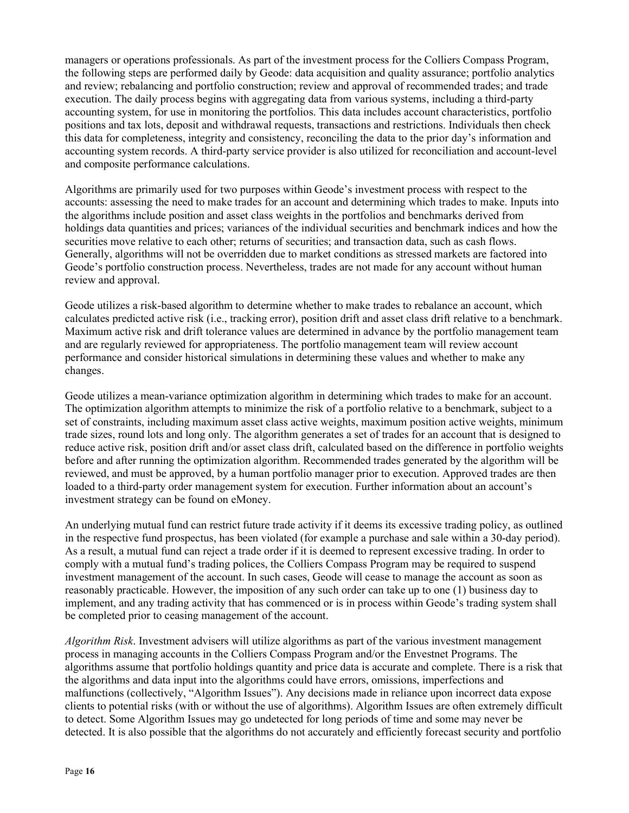managers or operations professionals. As part of the investment process for the Colliers Compass Program, the following steps are performed daily by Geode: data acquisition and quality assurance; portfolio analytics and review; rebalancing and portfolio construction; review and approval of recommended trades; and trade execution. The daily process begins with aggregating data from various systems, including a third-party accounting system, for use in monitoring the portfolios. This data includes account characteristics, portfolio positions and tax lots, deposit and withdrawal requests, transactions and restrictions. Individuals then check this data for completeness, integrity and consistency, reconciling the data to the prior day's information and accounting system records. A third-party service provider is also utilized for reconciliation and account-level and composite performance calculations.

Algorithms are primarily used for two purposes within Geode's investment process with respect to the accounts: assessing the need to make trades for an account and determining which trades to make. Inputs into the algorithms include position and asset class weights in the portfolios and benchmarks derived from holdings data quantities and prices; variances of the individual securities and benchmark indices and how the securities move relative to each other; returns of securities; and transaction data, such as cash flows. Generally, algorithms will not be overridden due to market conditions as stressed markets are factored into Geode's portfolio construction process. Nevertheless, trades are not made for any account without human review and approval.

Geode utilizes a risk-based algorithm to determine whether to make trades to rebalance an account, which calculates predicted active risk (i.e., tracking error), position drift and asset class drift relative to a benchmark. Maximum active risk and drift tolerance values are determined in advance by the portfolio management team and are regularly reviewed for appropriateness. The portfolio management team will review account performance and consider historical simulations in determining these values and whether to make any changes.

Geode utilizes a mean-variance optimization algorithm in determining which trades to make for an account. The optimization algorithm attempts to minimize the risk of a portfolio relative to a benchmark, subject to a set of constraints, including maximum asset class active weights, maximum position active weights, minimum trade sizes, round lots and long only. The algorithm generates a set of trades for an account that is designed to reduce active risk, position drift and/or asset class drift, calculated based on the difference in portfolio weights before and after running the optimization algorithm. Recommended trades generated by the algorithm will be reviewed, and must be approved, by a human portfolio manager prior to execution. Approved trades are then loaded to a third-party order management system for execution. Further information about an account's investment strategy can be found on eMoney.

An underlying mutual fund can restrict future trade activity if it deems its excessive trading policy, as outlined in the respective fund prospectus, has been violated (for example a purchase and sale within a 30-day period). As a result, a mutual fund can reject a trade order if it is deemed to represent excessive trading. In order to comply with a mutual fund's trading polices, the Colliers Compass Program may be required to suspend investment management of the account. In such cases, Geode will cease to manage the account as soon as reasonably practicable. However, the imposition of any such order can take up to one (1) business day to implement, and any trading activity that has commenced or is in process within Geode's trading system shall be completed prior to ceasing management of the account.

Algorithm Risk. Investment advisers will utilize algorithms as part of the various investment management process in managing accounts in the Colliers Compass Program and/or the Envestnet Programs. The algorithms assume that portfolio holdings quantity and price data is accurate and complete. There is a risk that the algorithms and data input into the algorithms could have errors, omissions, imperfections and malfunctions (collectively, "Algorithm Issues"). Any decisions made in reliance upon incorrect data expose clients to potential risks (with or without the use of algorithms). Algorithm Issues are often extremely difficult to detect. Some Algorithm Issues may go undetected for long periods of time and some may never be detected. It is also possible that the algorithms do not accurately and efficiently forecast security and portfolio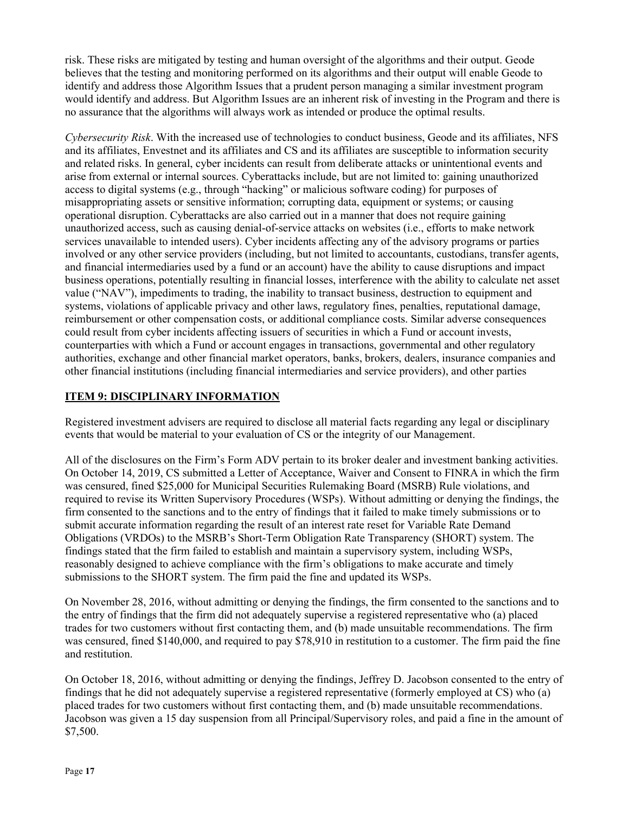risk. These risks are mitigated by testing and human oversight of the algorithms and their output. Geode believes that the testing and monitoring performed on its algorithms and their output will enable Geode to identify and address those Algorithm Issues that a prudent person managing a similar investment program would identify and address. But Algorithm Issues are an inherent risk of investing in the Program and there is no assurance that the algorithms will always work as intended or produce the optimal results.

Cybersecurity Risk. With the increased use of technologies to conduct business, Geode and its affiliates, NFS and its affiliates, Envestnet and its affiliates and CS and its affiliates are susceptible to information security and related risks. In general, cyber incidents can result from deliberate attacks or unintentional events and arise from external or internal sources. Cyberattacks include, but are not limited to: gaining unauthorized access to digital systems (e.g., through "hacking" or malicious software coding) for purposes of misappropriating assets or sensitive information; corrupting data, equipment or systems; or causing operational disruption. Cyberattacks are also carried out in a manner that does not require gaining unauthorized access, such as causing denial-of-service attacks on websites (i.e., efforts to make network services unavailable to intended users). Cyber incidents affecting any of the advisory programs or parties involved or any other service providers (including, but not limited to accountants, custodians, transfer agents, and financial intermediaries used by a fund or an account) have the ability to cause disruptions and impact business operations, potentially resulting in financial losses, interference with the ability to calculate net asset value ("NAV"), impediments to trading, the inability to transact business, destruction to equipment and systems, violations of applicable privacy and other laws, regulatory fines, penalties, reputational damage, reimbursement or other compensation costs, or additional compliance costs. Similar adverse consequences could result from cyber incidents affecting issuers of securities in which a Fund or account invests, counterparties with which a Fund or account engages in transactions, governmental and other regulatory authorities, exchange and other financial market operators, banks, brokers, dealers, insurance companies and other financial institutions (including financial intermediaries and service providers), and other parties

### ITEM 9: DISCIPLINARY INFORMATION

Registered investment advisers are required to disclose all material facts regarding any legal or disciplinary events that would be material to your evaluation of CS or the integrity of our Management.

All of the disclosures on the Firm's Form ADV pertain to its broker dealer and investment banking activities. On October 14, 2019, CS submitted a Letter of Acceptance, Waiver and Consent to FINRA in which the firm was censured, fined \$25,000 for Municipal Securities Rulemaking Board (MSRB) Rule violations, and required to revise its Written Supervisory Procedures (WSPs). Without admitting or denying the findings, the firm consented to the sanctions and to the entry of findings that it failed to make timely submissions or to submit accurate information regarding the result of an interest rate reset for Variable Rate Demand Obligations (VRDOs) to the MSRB's Short-Term Obligation Rate Transparency (SHORT) system. The findings stated that the firm failed to establish and maintain a supervisory system, including WSPs, reasonably designed to achieve compliance with the firm's obligations to make accurate and timely submissions to the SHORT system. The firm paid the fine and updated its WSPs.

On November 28, 2016, without admitting or denying the findings, the firm consented to the sanctions and to the entry of findings that the firm did not adequately supervise a registered representative who (a) placed trades for two customers without first contacting them, and (b) made unsuitable recommendations. The firm was censured, fined \$140,000, and required to pay \$78,910 in restitution to a customer. The firm paid the fine and restitution.

On October 18, 2016, without admitting or denying the findings, Jeffrey D. Jacobson consented to the entry of findings that he did not adequately supervise a registered representative (formerly employed at CS) who (a) placed trades for two customers without first contacting them, and (b) made unsuitable recommendations. Jacobson was given a 15 day suspension from all Principal/Supervisory roles, and paid a fine in the amount of \$7,500.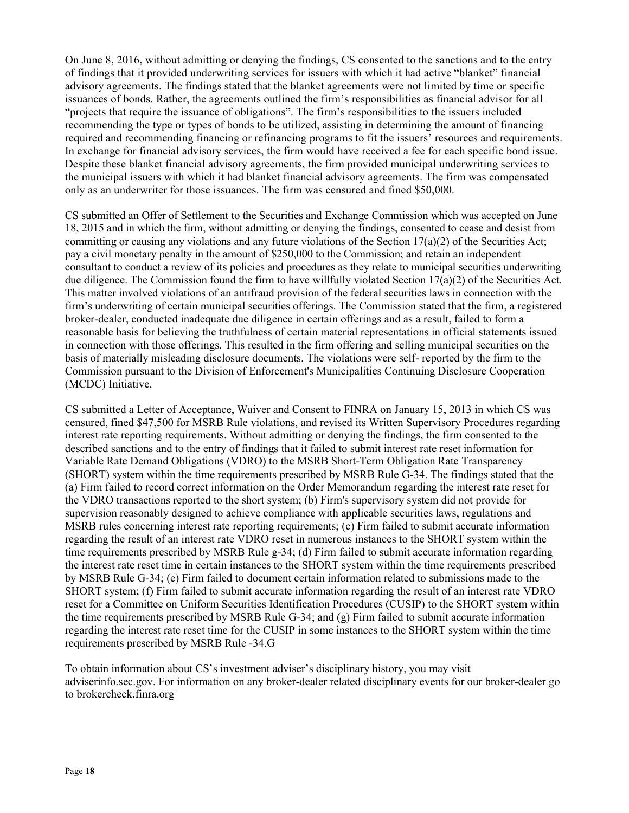On June 8, 2016, without admitting or denying the findings, CS consented to the sanctions and to the entry of findings that it provided underwriting services for issuers with which it had active "blanket" financial advisory agreements. The findings stated that the blanket agreements were not limited by time or specific issuances of bonds. Rather, the agreements outlined the firm's responsibilities as financial advisor for all "projects that require the issuance of obligations". The firm's responsibilities to the issuers included recommending the type or types of bonds to be utilized, assisting in determining the amount of financing required and recommending financing or refinancing programs to fit the issuers' resources and requirements. In exchange for financial advisory services, the firm would have received a fee for each specific bond issue. Despite these blanket financial advisory agreements, the firm provided municipal underwriting services to the municipal issuers with which it had blanket financial advisory agreements. The firm was compensated only as an underwriter for those issuances. The firm was censured and fined \$50,000.

CS submitted an Offer of Settlement to the Securities and Exchange Commission which was accepted on June 18, 2015 and in which the firm, without admitting or denying the findings, consented to cease and desist from committing or causing any violations and any future violations of the Section  $17(a)(2)$  of the Securities Act; pay a civil monetary penalty in the amount of \$250,000 to the Commission; and retain an independent consultant to conduct a review of its policies and procedures as they relate to municipal securities underwriting due diligence. The Commission found the firm to have willfully violated Section 17(a)(2) of the Securities Act. This matter involved violations of an antifraud provision of the federal securities laws in connection with the firm's underwriting of certain municipal securities offerings. The Commission stated that the firm, a registered broker-dealer, conducted inadequate due diligence in certain offerings and as a result, failed to form a reasonable basis for believing the truthfulness of certain material representations in official statements issued in connection with those offerings. This resulted in the firm offering and selling municipal securities on the basis of materially misleading disclosure documents. The violations were self- reported by the firm to the Commission pursuant to the Division of Enforcement's Municipalities Continuing Disclosure Cooperation (MCDC) Initiative.

CS submitted a Letter of Acceptance, Waiver and Consent to FINRA on January 15, 2013 in which CS was censured, fined \$47,500 for MSRB Rule violations, and revised its Written Supervisory Procedures regarding interest rate reporting requirements. Without admitting or denying the findings, the firm consented to the described sanctions and to the entry of findings that it failed to submit interest rate reset information for Variable Rate Demand Obligations (VDRO) to the MSRB Short-Term Obligation Rate Transparency (SHORT) system within the time requirements prescribed by MSRB Rule G-34. The findings stated that the (a) Firm failed to record correct information on the Order Memorandum regarding the interest rate reset for the VDRO transactions reported to the short system; (b) Firm's supervisory system did not provide for supervision reasonably designed to achieve compliance with applicable securities laws, regulations and MSRB rules concerning interest rate reporting requirements; (c) Firm failed to submit accurate information regarding the result of an interest rate VDRO reset in numerous instances to the SHORT system within the time requirements prescribed by MSRB Rule g-34; (d) Firm failed to submit accurate information regarding the interest rate reset time in certain instances to the SHORT system within the time requirements prescribed by MSRB Rule G-34; (e) Firm failed to document certain information related to submissions made to the SHORT system; (f) Firm failed to submit accurate information regarding the result of an interest rate VDRO reset for a Committee on Uniform Securities Identification Procedures (CUSIP) to the SHORT system within the time requirements prescribed by MSRB Rule G-34; and (g) Firm failed to submit accurate information regarding the interest rate reset time for the CUSIP in some instances to the SHORT system within the time requirements prescribed by MSRB Rule -34.G

To obtain information about CS's investment adviser's disciplinary history, you may visit adviserinfo.sec.gov. For information on any broker-dealer related disciplinary events for our broker-dealer go to brokercheck.finra.org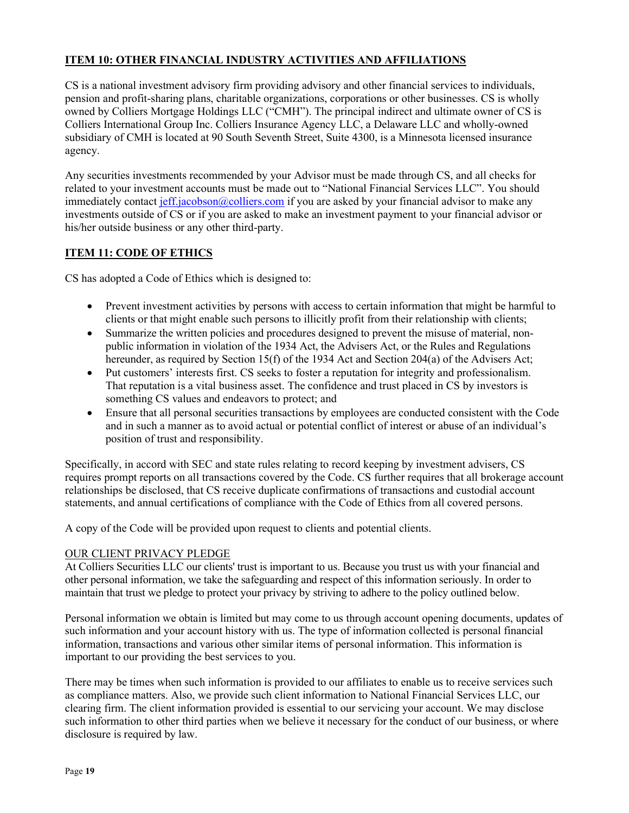# ITEM 10: OTHER FINANCIAL INDUSTRY ACTIVITIES AND AFFILIATIONS

CS is a national investment advisory firm providing advisory and other financial services to individuals, pension and profit-sharing plans, charitable organizations, corporations or other businesses. CS is wholly owned by Colliers Mortgage Holdings LLC ("CMH"). The principal indirect and ultimate owner of CS is Colliers International Group Inc. Colliers Insurance Agency LLC, a Delaware LLC and wholly-owned subsidiary of CMH is located at 90 South Seventh Street, Suite 4300, is a Minnesota licensed insurance agency.

Any securities investments recommended by your Advisor must be made through CS, and all checks for related to your investment accounts must be made out to "National Financial Services LLC". You should immediately contact jeff.jacobson@colliers.com if you are asked by your financial advisor to make any investments outside of CS or if you are asked to make an investment payment to your financial advisor or his/her outside business or any other third-party.

# ITEM 11: CODE OF ETHICS

CS has adopted a Code of Ethics which is designed to:

- Prevent investment activities by persons with access to certain information that might be harmful to clients or that might enable such persons to illicitly profit from their relationship with clients;
- Summarize the written policies and procedures designed to prevent the misuse of material, nonpublic information in violation of the 1934 Act, the Advisers Act, or the Rules and Regulations hereunder, as required by Section 15(f) of the 1934 Act and Section 204(a) of the Advisers Act;
- Put customers' interests first. CS seeks to foster a reputation for integrity and professionalism. That reputation is a vital business asset. The confidence and trust placed in CS by investors is something CS values and endeavors to protect; and
- Ensure that all personal securities transactions by employees are conducted consistent with the Code and in such a manner as to avoid actual or potential conflict of interest or abuse of an individual's position of trust and responsibility.

Specifically, in accord with SEC and state rules relating to record keeping by investment advisers, CS requires prompt reports on all transactions covered by the Code. CS further requires that all brokerage account relationships be disclosed, that CS receive duplicate confirmations of transactions and custodial account statements, and annual certifications of compliance with the Code of Ethics from all covered persons.

A copy of the Code will be provided upon request to clients and potential clients.

# OUR CLIENT PRIVACY PLEDGE

At Colliers Securities LLC our clients' trust is important to us. Because you trust us with your financial and other personal information, we take the safeguarding and respect of this information seriously. In order to maintain that trust we pledge to protect your privacy by striving to adhere to the policy outlined below.

Personal information we obtain is limited but may come to us through account opening documents, updates of such information and your account history with us. The type of information collected is personal financial information, transactions and various other similar items of personal information. This information is important to our providing the best services to you.

There may be times when such information is provided to our affiliates to enable us to receive services such as compliance matters. Also, we provide such client information to National Financial Services LLC, our clearing firm. The client information provided is essential to our servicing your account. We may disclose such information to other third parties when we believe it necessary for the conduct of our business, or where disclosure is required by law.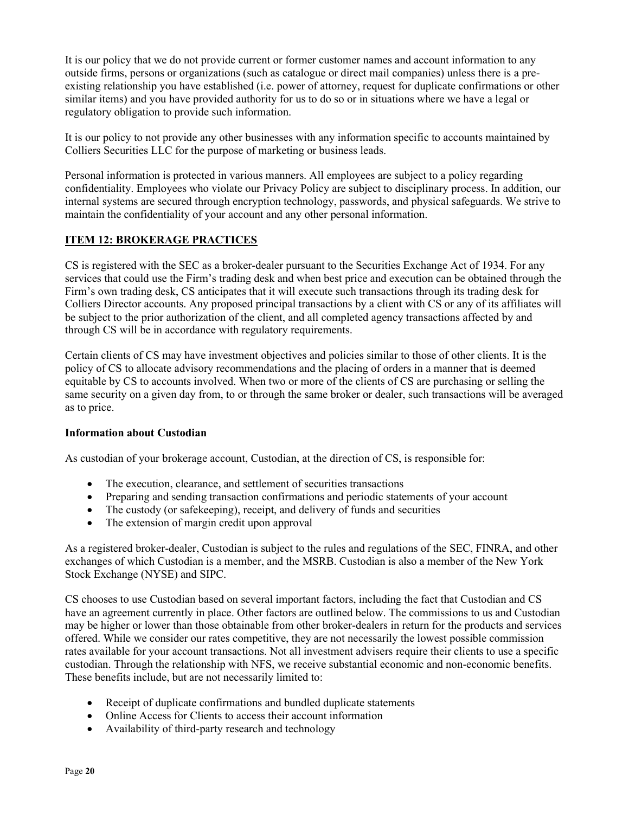It is our policy that we do not provide current or former customer names and account information to any outside firms, persons or organizations (such as catalogue or direct mail companies) unless there is a preexisting relationship you have established (i.e. power of attorney, request for duplicate confirmations or other similar items) and you have provided authority for us to do so or in situations where we have a legal or regulatory obligation to provide such information.

It is our policy to not provide any other businesses with any information specific to accounts maintained by Colliers Securities LLC for the purpose of marketing or business leads.

Personal information is protected in various manners. All employees are subject to a policy regarding confidentiality. Employees who violate our Privacy Policy are subject to disciplinary process. In addition, our internal systems are secured through encryption technology, passwords, and physical safeguards. We strive to maintain the confidentiality of your account and any other personal information.

# ITEM 12: BROKERAGE PRACTICES

CS is registered with the SEC as a broker-dealer pursuant to the Securities Exchange Act of 1934. For any services that could use the Firm's trading desk and when best price and execution can be obtained through the Firm's own trading desk, CS anticipates that it will execute such transactions through its trading desk for Colliers Director accounts. Any proposed principal transactions by a client with CS or any of its affiliates will be subject to the prior authorization of the client, and all completed agency transactions affected by and through CS will be in accordance with regulatory requirements.

Certain clients of CS may have investment objectives and policies similar to those of other clients. It is the policy of CS to allocate advisory recommendations and the placing of orders in a manner that is deemed equitable by CS to accounts involved. When two or more of the clients of CS are purchasing or selling the same security on a given day from, to or through the same broker or dealer, such transactions will be averaged as to price.

# Information about Custodian

As custodian of your brokerage account, Custodian, at the direction of CS, is responsible for:

- The execution, clearance, and settlement of securities transactions
- Preparing and sending transaction confirmations and periodic statements of your account
- The custody (or safekeeping), receipt, and delivery of funds and securities
- The extension of margin credit upon approval

As a registered broker-dealer, Custodian is subject to the rules and regulations of the SEC, FINRA, and other exchanges of which Custodian is a member, and the MSRB. Custodian is also a member of the New York Stock Exchange (NYSE) and SIPC.

CS chooses to use Custodian based on several important factors, including the fact that Custodian and CS have an agreement currently in place. Other factors are outlined below. The commissions to us and Custodian may be higher or lower than those obtainable from other broker-dealers in return for the products and services offered. While we consider our rates competitive, they are not necessarily the lowest possible commission rates available for your account transactions. Not all investment advisers require their clients to use a specific custodian. Through the relationship with NFS, we receive substantial economic and non-economic benefits. These benefits include, but are not necessarily limited to:

- Receipt of duplicate confirmations and bundled duplicate statements
- Online Access for Clients to access their account information
- Availability of third-party research and technology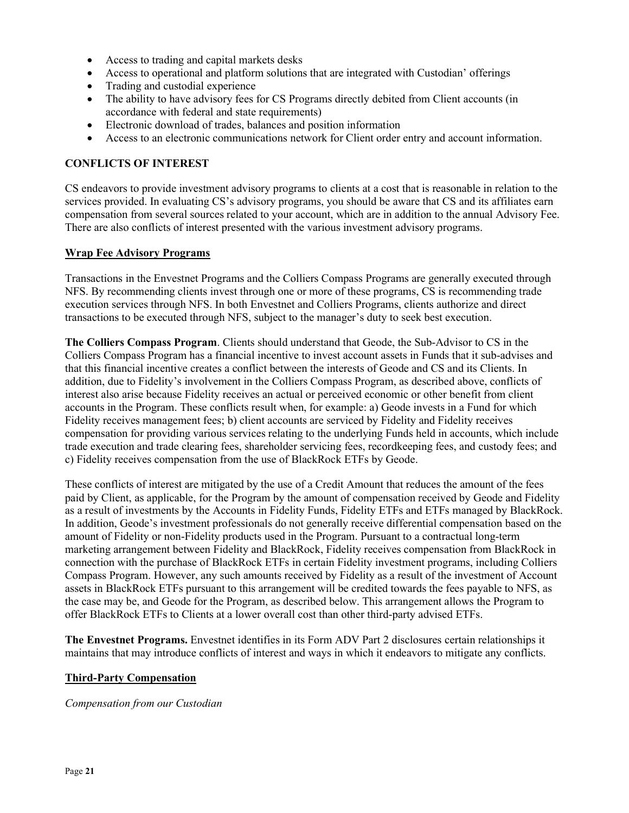- Access to trading and capital markets desks
- Access to operational and platform solutions that are integrated with Custodian' offerings
- Trading and custodial experience
- The ability to have advisory fees for CS Programs directly debited from Client accounts (in accordance with federal and state requirements)
- Electronic download of trades, balances and position information
- Access to an electronic communications network for Client order entry and account information.

# CONFLICTS OF INTEREST

CS endeavors to provide investment advisory programs to clients at a cost that is reasonable in relation to the services provided. In evaluating CS's advisory programs, you should be aware that CS and its affiliates earn compensation from several sources related to your account, which are in addition to the annual Advisory Fee. There are also conflicts of interest presented with the various investment advisory programs.

### Wrap Fee Advisory Programs

Transactions in the Envestnet Programs and the Colliers Compass Programs are generally executed through NFS. By recommending clients invest through one or more of these programs, CS is recommending trade execution services through NFS. In both Envestnet and Colliers Programs, clients authorize and direct transactions to be executed through NFS, subject to the manager's duty to seek best execution.

The Colliers Compass Program. Clients should understand that Geode, the Sub-Advisor to CS in the Colliers Compass Program has a financial incentive to invest account assets in Funds that it sub-advises and that this financial incentive creates a conflict between the interests of Geode and CS and its Clients. In addition, due to Fidelity's involvement in the Colliers Compass Program, as described above, conflicts of interest also arise because Fidelity receives an actual or perceived economic or other benefit from client accounts in the Program. These conflicts result when, for example: a) Geode invests in a Fund for which Fidelity receives management fees; b) client accounts are serviced by Fidelity and Fidelity receives compensation for providing various services relating to the underlying Funds held in accounts, which include trade execution and trade clearing fees, shareholder servicing fees, recordkeeping fees, and custody fees; and c) Fidelity receives compensation from the use of BlackRock ETFs by Geode.

These conflicts of interest are mitigated by the use of a Credit Amount that reduces the amount of the fees paid by Client, as applicable, for the Program by the amount of compensation received by Geode and Fidelity as a result of investments by the Accounts in Fidelity Funds, Fidelity ETFs and ETFs managed by BlackRock. In addition, Geode's investment professionals do not generally receive differential compensation based on the amount of Fidelity or non-Fidelity products used in the Program. Pursuant to a contractual long-term marketing arrangement between Fidelity and BlackRock, Fidelity receives compensation from BlackRock in connection with the purchase of BlackRock ETFs in certain Fidelity investment programs, including Colliers Compass Program. However, any such amounts received by Fidelity as a result of the investment of Account assets in BlackRock ETFs pursuant to this arrangement will be credited towards the fees payable to NFS, as the case may be, and Geode for the Program, as described below. This arrangement allows the Program to offer BlackRock ETFs to Clients at a lower overall cost than other third-party advised ETFs.

The Envestnet Programs. Envestnet identifies in its Form ADV Part 2 disclosures certain relationships it maintains that may introduce conflicts of interest and ways in which it endeavors to mitigate any conflicts.

### Third-Party Compensation

Compensation from our Custodian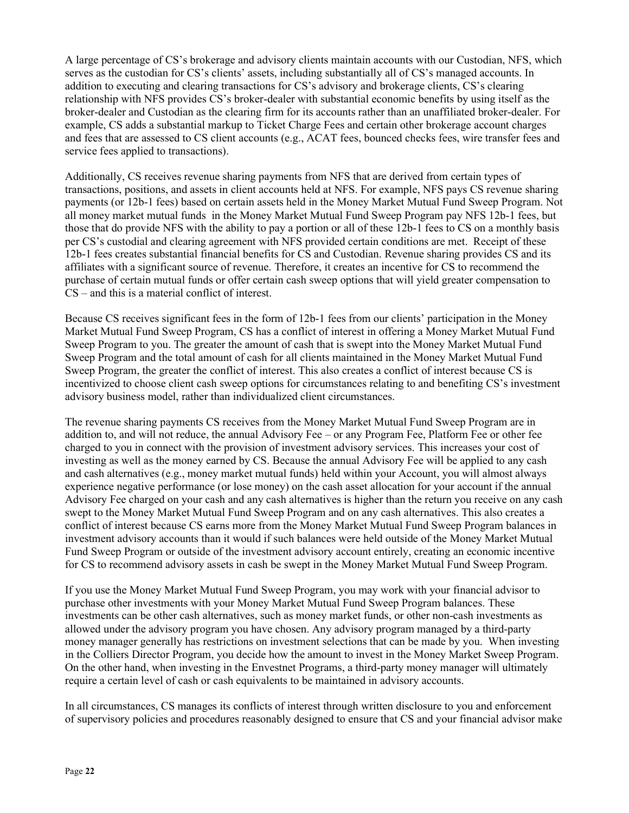A large percentage of CS's brokerage and advisory clients maintain accounts with our Custodian, NFS, which serves as the custodian for CS's clients' assets, including substantially all of CS's managed accounts. In addition to executing and clearing transactions for CS's advisory and brokerage clients, CS's clearing relationship with NFS provides CS's broker-dealer with substantial economic benefits by using itself as the broker-dealer and Custodian as the clearing firm for its accounts rather than an unaffiliated broker-dealer. For example, CS adds a substantial markup to Ticket Charge Fees and certain other brokerage account charges and fees that are assessed to CS client accounts (e.g., ACAT fees, bounced checks fees, wire transfer fees and service fees applied to transactions).

Additionally, CS receives revenue sharing payments from NFS that are derived from certain types of transactions, positions, and assets in client accounts held at NFS. For example, NFS pays CS revenue sharing payments (or 12b-1 fees) based on certain assets held in the Money Market Mutual Fund Sweep Program. Not all money market mutual funds in the Money Market Mutual Fund Sweep Program pay NFS 12b-1 fees, but those that do provide NFS with the ability to pay a portion or all of these 12b-1 fees to CS on a monthly basis per CS's custodial and clearing agreement with NFS provided certain conditions are met. Receipt of these 12b-1 fees creates substantial financial benefits for CS and Custodian. Revenue sharing provides CS and its affiliates with a significant source of revenue. Therefore, it creates an incentive for CS to recommend the purchase of certain mutual funds or offer certain cash sweep options that will yield greater compensation to CS – and this is a material conflict of interest.

Because CS receives significant fees in the form of 12b-1 fees from our clients' participation in the Money Market Mutual Fund Sweep Program, CS has a conflict of interest in offering a Money Market Mutual Fund Sweep Program to you. The greater the amount of cash that is swept into the Money Market Mutual Fund Sweep Program and the total amount of cash for all clients maintained in the Money Market Mutual Fund Sweep Program, the greater the conflict of interest. This also creates a conflict of interest because CS is incentivized to choose client cash sweep options for circumstances relating to and benefiting CS's investment advisory business model, rather than individualized client circumstances.

The revenue sharing payments CS receives from the Money Market Mutual Fund Sweep Program are in addition to, and will not reduce, the annual Advisory Fee – or any Program Fee, Platform Fee or other fee charged to you in connect with the provision of investment advisory services. This increases your cost of investing as well as the money earned by CS. Because the annual Advisory Fee will be applied to any cash and cash alternatives (e.g., money market mutual funds) held within your Account, you will almost always experience negative performance (or lose money) on the cash asset allocation for your account if the annual Advisory Fee charged on your cash and any cash alternatives is higher than the return you receive on any cash swept to the Money Market Mutual Fund Sweep Program and on any cash alternatives. This also creates a conflict of interest because CS earns more from the Money Market Mutual Fund Sweep Program balances in investment advisory accounts than it would if such balances were held outside of the Money Market Mutual Fund Sweep Program or outside of the investment advisory account entirely, creating an economic incentive for CS to recommend advisory assets in cash be swept in the Money Market Mutual Fund Sweep Program.

If you use the Money Market Mutual Fund Sweep Program, you may work with your financial advisor to purchase other investments with your Money Market Mutual Fund Sweep Program balances. These investments can be other cash alternatives, such as money market funds, or other non-cash investments as allowed under the advisory program you have chosen. Any advisory program managed by a third-party money manager generally has restrictions on investment selections that can be made by you. When investing in the Colliers Director Program, you decide how the amount to invest in the Money Market Sweep Program. On the other hand, when investing in the Envestnet Programs, a third-party money manager will ultimately require a certain level of cash or cash equivalents to be maintained in advisory accounts.

In all circumstances, CS manages its conflicts of interest through written disclosure to you and enforcement of supervisory policies and procedures reasonably designed to ensure that CS and your financial advisor make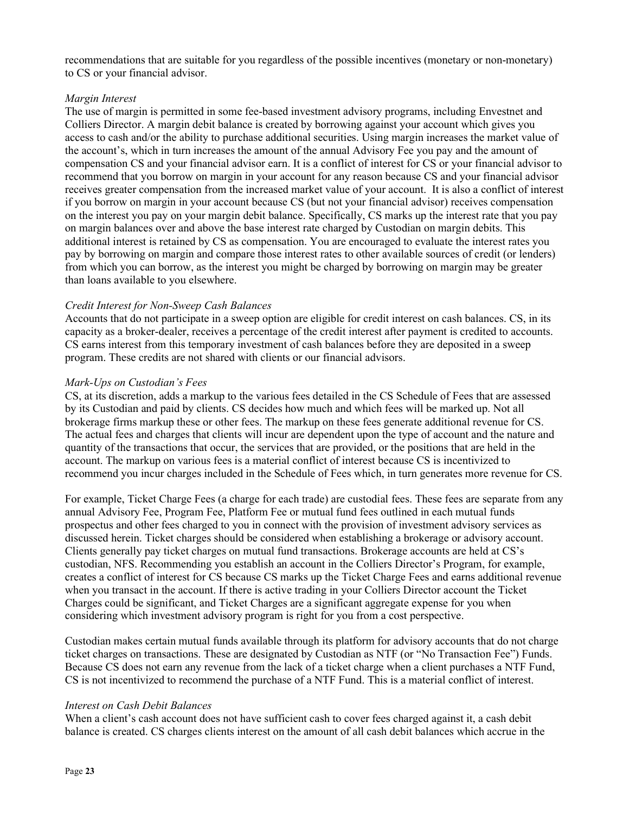recommendations that are suitable for you regardless of the possible incentives (monetary or non-monetary) to CS or your financial advisor.

### Margin Interest

The use of margin is permitted in some fee-based investment advisory programs, including Envestnet and Colliers Director. A margin debit balance is created by borrowing against your account which gives you access to cash and/or the ability to purchase additional securities. Using margin increases the market value of the account's, which in turn increases the amount of the annual Advisory Fee you pay and the amount of compensation CS and your financial advisor earn. It is a conflict of interest for CS or your financial advisor to recommend that you borrow on margin in your account for any reason because CS and your financial advisor receives greater compensation from the increased market value of your account. It is also a conflict of interest if you borrow on margin in your account because CS (but not your financial advisor) receives compensation on the interest you pay on your margin debit balance. Specifically, CS marks up the interest rate that you pay on margin balances over and above the base interest rate charged by Custodian on margin debits. This additional interest is retained by CS as compensation. You are encouraged to evaluate the interest rates you pay by borrowing on margin and compare those interest rates to other available sources of credit (or lenders) from which you can borrow, as the interest you might be charged by borrowing on margin may be greater than loans available to you elsewhere.

### Credit Interest for Non-Sweep Cash Balances

Accounts that do not participate in a sweep option are eligible for credit interest on cash balances. CS, in its capacity as a broker-dealer, receives a percentage of the credit interest after payment is credited to accounts. CS earns interest from this temporary investment of cash balances before they are deposited in a sweep program. These credits are not shared with clients or our financial advisors.

### Mark-Ups on Custodian's Fees

CS, at its discretion, adds a markup to the various fees detailed in the CS Schedule of Fees that are assessed by its Custodian and paid by clients. CS decides how much and which fees will be marked up. Not all brokerage firms markup these or other fees. The markup on these fees generate additional revenue for CS. The actual fees and charges that clients will incur are dependent upon the type of account and the nature and quantity of the transactions that occur, the services that are provided, or the positions that are held in the account. The markup on various fees is a material conflict of interest because CS is incentivized to recommend you incur charges included in the Schedule of Fees which, in turn generates more revenue for CS.

For example, Ticket Charge Fees (a charge for each trade) are custodial fees. These fees are separate from any annual Advisory Fee, Program Fee, Platform Fee or mutual fund fees outlined in each mutual funds prospectus and other fees charged to you in connect with the provision of investment advisory services as discussed herein. Ticket charges should be considered when establishing a brokerage or advisory account. Clients generally pay ticket charges on mutual fund transactions. Brokerage accounts are held at CS's custodian, NFS. Recommending you establish an account in the Colliers Director's Program, for example, creates a conflict of interest for CS because CS marks up the Ticket Charge Fees and earns additional revenue when you transact in the account. If there is active trading in your Colliers Director account the Ticket Charges could be significant, and Ticket Charges are a significant aggregate expense for you when considering which investment advisory program is right for you from a cost perspective.

Custodian makes certain mutual funds available through its platform for advisory accounts that do not charge ticket charges on transactions. These are designated by Custodian as NTF (or "No Transaction Fee") Funds. Because CS does not earn any revenue from the lack of a ticket charge when a client purchases a NTF Fund, CS is not incentivized to recommend the purchase of a NTF Fund. This is a material conflict of interest.

### Interest on Cash Debit Balances

When a client's cash account does not have sufficient cash to cover fees charged against it, a cash debit balance is created. CS charges clients interest on the amount of all cash debit balances which accrue in the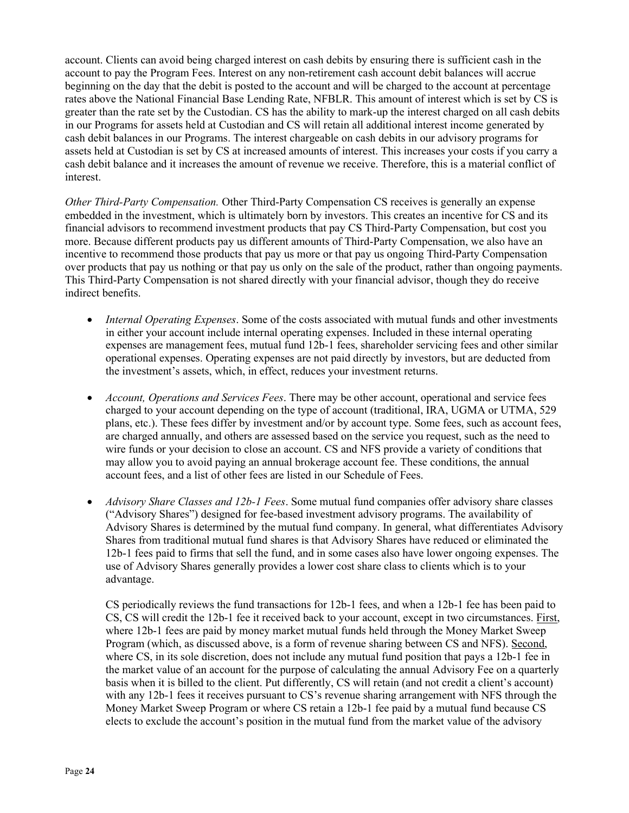account. Clients can avoid being charged interest on cash debits by ensuring there is sufficient cash in the account to pay the Program Fees. Interest on any non-retirement cash account debit balances will accrue beginning on the day that the debit is posted to the account and will be charged to the account at percentage rates above the National Financial Base Lending Rate, NFBLR. This amount of interest which is set by CS is greater than the rate set by the Custodian. CS has the ability to mark-up the interest charged on all cash debits in our Programs for assets held at Custodian and CS will retain all additional interest income generated by cash debit balances in our Programs. The interest chargeable on cash debits in our advisory programs for assets held at Custodian is set by CS at increased amounts of interest. This increases your costs if you carry a cash debit balance and it increases the amount of revenue we receive. Therefore, this is a material conflict of interest.

Other Third-Party Compensation. Other Third-Party Compensation CS receives is generally an expense embedded in the investment, which is ultimately born by investors. This creates an incentive for CS and its financial advisors to recommend investment products that pay CS Third-Party Compensation, but cost you more. Because different products pay us different amounts of Third-Party Compensation, we also have an incentive to recommend those products that pay us more or that pay us ongoing Third-Party Compensation over products that pay us nothing or that pay us only on the sale of the product, rather than ongoing payments. This Third-Party Compensation is not shared directly with your financial advisor, though they do receive indirect benefits.

- Internal Operating Expenses. Some of the costs associated with mutual funds and other investments in either your account include internal operating expenses. Included in these internal operating expenses are management fees, mutual fund 12b-1 fees, shareholder servicing fees and other similar operational expenses. Operating expenses are not paid directly by investors, but are deducted from the investment's assets, which, in effect, reduces your investment returns.
- Account, Operations and Services Fees. There may be other account, operational and service fees charged to your account depending on the type of account (traditional, IRA, UGMA or UTMA, 529 plans, etc.). These fees differ by investment and/or by account type. Some fees, such as account fees, are charged annually, and others are assessed based on the service you request, such as the need to wire funds or your decision to close an account. CS and NFS provide a variety of conditions that may allow you to avoid paying an annual brokerage account fee. These conditions, the annual account fees, and a list of other fees are listed in our Schedule of Fees.
- *Advisory Share Classes and 12b-1 Fees.* Some mutual fund companies offer advisory share classes ("Advisory Shares") designed for fee-based investment advisory programs. The availability of Advisory Shares is determined by the mutual fund company. In general, what differentiates Advisory Shares from traditional mutual fund shares is that Advisory Shares have reduced or eliminated the 12b-1 fees paid to firms that sell the fund, and in some cases also have lower ongoing expenses. The use of Advisory Shares generally provides a lower cost share class to clients which is to your advantage.

CS periodically reviews the fund transactions for 12b-1 fees, and when a 12b-1 fee has been paid to CS, CS will credit the 12b-1 fee it received back to your account, except in two circumstances. First, where 12b-1 fees are paid by money market mutual funds held through the Money Market Sweep Program (which, as discussed above, is a form of revenue sharing between CS and NFS). Second, where CS, in its sole discretion, does not include any mutual fund position that pays a 12b-1 fee in the market value of an account for the purpose of calculating the annual Advisory Fee on a quarterly basis when it is billed to the client. Put differently, CS will retain (and not credit a client's account) with any 12b-1 fees it receives pursuant to CS's revenue sharing arrangement with NFS through the Money Market Sweep Program or where CS retain a 12b-1 fee paid by a mutual fund because CS elects to exclude the account's position in the mutual fund from the market value of the advisory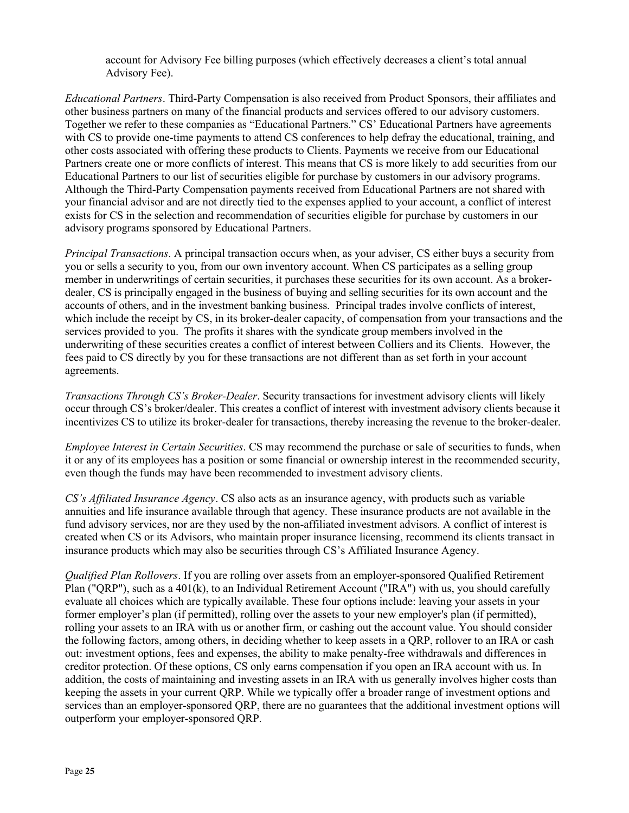account for Advisory Fee billing purposes (which effectively decreases a client's total annual Advisory Fee).

Educational Partners. Third-Party Compensation is also received from Product Sponsors, their affiliates and other business partners on many of the financial products and services offered to our advisory customers. Together we refer to these companies as "Educational Partners." CS' Educational Partners have agreements with CS to provide one-time payments to attend CS conferences to help defray the educational, training, and other costs associated with offering these products to Clients. Payments we receive from our Educational Partners create one or more conflicts of interest. This means that CS is more likely to add securities from our Educational Partners to our list of securities eligible for purchase by customers in our advisory programs. Although the Third-Party Compensation payments received from Educational Partners are not shared with your financial advisor and are not directly tied to the expenses applied to your account, a conflict of interest exists for CS in the selection and recommendation of securities eligible for purchase by customers in our advisory programs sponsored by Educational Partners.

Principal Transactions. A principal transaction occurs when, as your adviser, CS either buys a security from you or sells a security to you, from our own inventory account. When CS participates as a selling group member in underwritings of certain securities, it purchases these securities for its own account. As a brokerdealer, CS is principally engaged in the business of buying and selling securities for its own account and the accounts of others, and in the investment banking business. Principal trades involve conflicts of interest, which include the receipt by CS, in its broker-dealer capacity, of compensation from your transactions and the services provided to you. The profits it shares with the syndicate group members involved in the underwriting of these securities creates a conflict of interest between Colliers and its Clients. However, the fees paid to CS directly by you for these transactions are not different than as set forth in your account agreements.

Transactions Through CS's Broker-Dealer. Security transactions for investment advisory clients will likely occur through CS's broker/dealer. This creates a conflict of interest with investment advisory clients because it incentivizes CS to utilize its broker-dealer for transactions, thereby increasing the revenue to the broker-dealer.

Employee Interest in Certain Securities. CS may recommend the purchase or sale of securities to funds, when it or any of its employees has a position or some financial or ownership interest in the recommended security, even though the funds may have been recommended to investment advisory clients.

CS's Affiliated Insurance Agency. CS also acts as an insurance agency, with products such as variable annuities and life insurance available through that agency. These insurance products are not available in the fund advisory services, nor are they used by the non-affiliated investment advisors. A conflict of interest is created when CS or its Advisors, who maintain proper insurance licensing, recommend its clients transact in insurance products which may also be securities through CS's Affiliated Insurance Agency.

Qualified Plan Rollovers. If you are rolling over assets from an employer-sponsored Qualified Retirement Plan ("QRP"), such as a 401(k), to an Individual Retirement Account ("IRA") with us, you should carefully evaluate all choices which are typically available. These four options include: leaving your assets in your former employer's plan (if permitted), rolling over the assets to your new employer's plan (if permitted), rolling your assets to an IRA with us or another firm, or cashing out the account value. You should consider the following factors, among others, in deciding whether to keep assets in a QRP, rollover to an IRA or cash out: investment options, fees and expenses, the ability to make penalty-free withdrawals and differences in creditor protection. Of these options, CS only earns compensation if you open an IRA account with us. In addition, the costs of maintaining and investing assets in an IRA with us generally involves higher costs than keeping the assets in your current QRP. While we typically offer a broader range of investment options and services than an employer-sponsored QRP, there are no guarantees that the additional investment options will outperform your employer-sponsored QRP.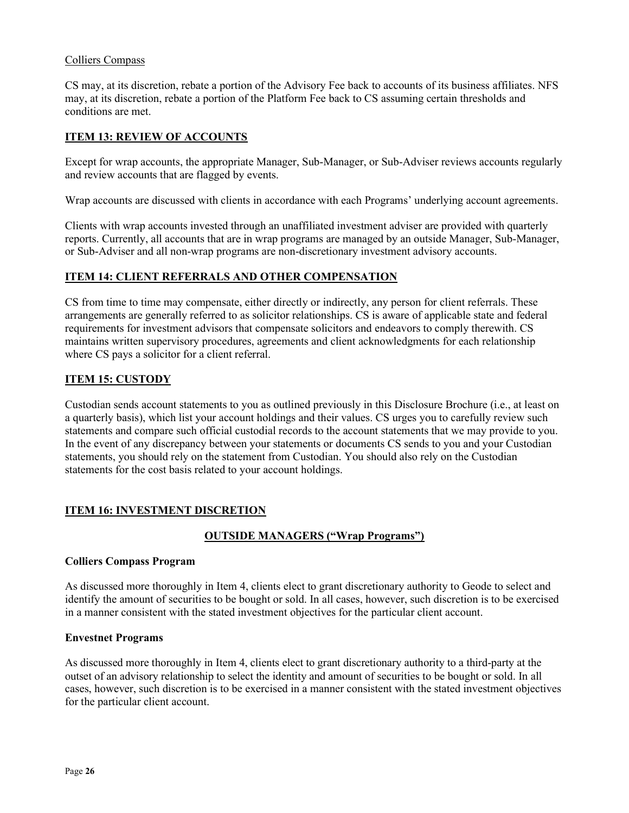### Colliers Compass

CS may, at its discretion, rebate a portion of the Advisory Fee back to accounts of its business affiliates. NFS may, at its discretion, rebate a portion of the Platform Fee back to CS assuming certain thresholds and conditions are met.

### ITEM 13: REVIEW OF ACCOUNTS

Except for wrap accounts, the appropriate Manager, Sub-Manager, or Sub-Adviser reviews accounts regularly and review accounts that are flagged by events.

Wrap accounts are discussed with clients in accordance with each Programs' underlying account agreements.

Clients with wrap accounts invested through an unaffiliated investment adviser are provided with quarterly reports. Currently, all accounts that are in wrap programs are managed by an outside Manager, Sub-Manager, or Sub-Adviser and all non-wrap programs are non-discretionary investment advisory accounts.

### ITEM 14: CLIENT REFERRALS AND OTHER COMPENSATION

CS from time to time may compensate, either directly or indirectly, any person for client referrals. These arrangements are generally referred to as solicitor relationships. CS is aware of applicable state and federal requirements for investment advisors that compensate solicitors and endeavors to comply therewith. CS maintains written supervisory procedures, agreements and client acknowledgments for each relationship where CS pays a solicitor for a client referral.

### ITEM 15: CUSTODY

Custodian sends account statements to you as outlined previously in this Disclosure Brochure (i.e., at least on a quarterly basis), which list your account holdings and their values. CS urges you to carefully review such statements and compare such official custodial records to the account statements that we may provide to you. In the event of any discrepancy between your statements or documents CS sends to you and your Custodian statements, you should rely on the statement from Custodian. You should also rely on the Custodian statements for the cost basis related to your account holdings.

### ITEM 16: INVESTMENT DISCRETION

# OUTSIDE MANAGERS ("Wrap Programs")

### Colliers Compass Program

As discussed more thoroughly in Item 4, clients elect to grant discretionary authority to Geode to select and identify the amount of securities to be bought or sold. In all cases, however, such discretion is to be exercised in a manner consistent with the stated investment objectives for the particular client account.

### Envestnet Programs

As discussed more thoroughly in Item 4, clients elect to grant discretionary authority to a third-party at the outset of an advisory relationship to select the identity and amount of securities to be bought or sold. In all cases, however, such discretion is to be exercised in a manner consistent with the stated investment objectives for the particular client account.